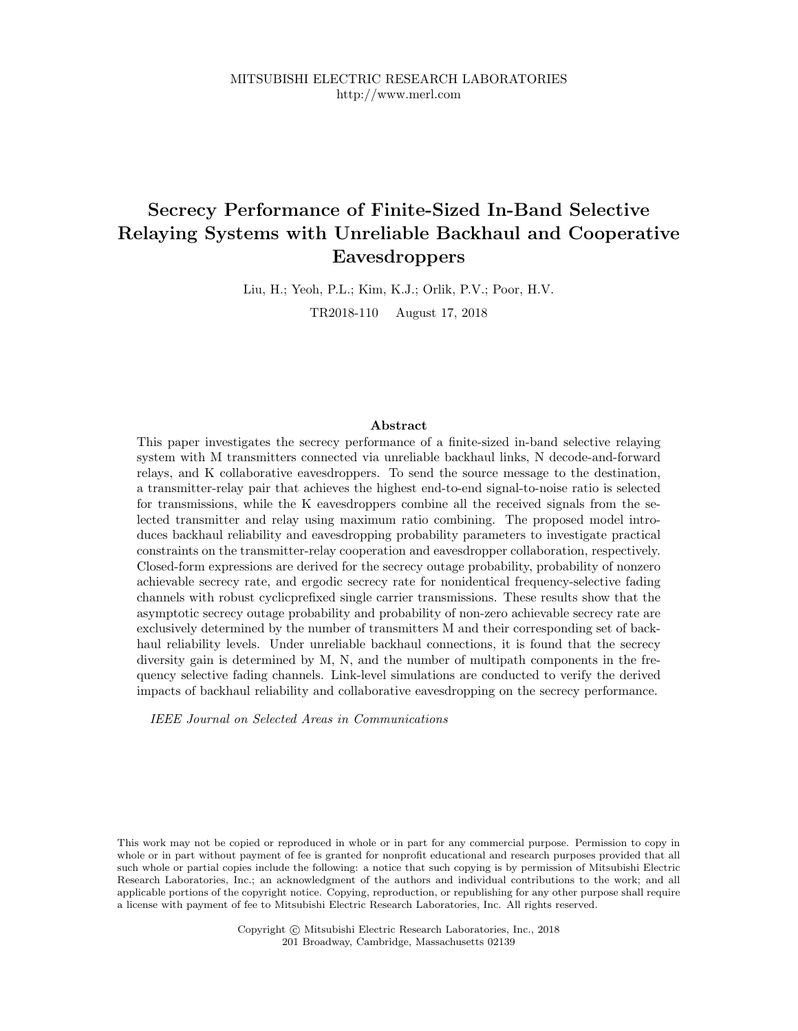# Secrecy Performance of Finite-Sized In-Band Selective Relaying Systems with Unreliable Backhaul and Cooperative Eavesdroppers

Liu, H.; Yeoh, P.L.; Kim, K.J.; Orlik, P.V.; Poor, H.V.

TR2018-110 August 17, 2018

# Abstract

This paper investigates the secrecy performance of a finite-sized in-band selective relaying system with M transmitters connected via unreliable backhaul links, N decode-and-forward relays, and K collaborative eavesdroppers. To send the source message to the destination, a transmitter-relay pair that achieves the highest end-to-end signal-to-noise ratio is selected for transmissions, while the K eavesdroppers combine all the received signals from the selected transmitter and relay using maximum ratio combining. The proposed model introduces backhaul reliability and eavesdropping probability parameters to investigate practical constraints on the transmitter-relay cooperation and eavesdropper collaboration, respectively. Closed-form expressions are derived for the secrecy outage probability, probability of nonzero achievable secrecy rate, and ergodic secrecy rate for nonidentical frequency-selective fading channels with robust cyclicprefixed single carrier transmissions. These results show that the asymptotic secrecy outage probability and probability of non-zero achievable secrecy rate are exclusively determined by the number of transmitters M and their corresponding set of backhaul reliability levels. Under unreliable backhaul connections, it is found that the secrecy diversity gain is determined by M, N, and the number of multipath components in the frequency selective fading channels. Link-level simulations are conducted to verify the derived impacts of backhaul reliability and collaborative eavesdropping on the secrecy performance.

IEEE Journal on Selected Areas in Communications

This work may not be copied or reproduced in whole or in part for any commercial purpose. Permission to copy in whole or in part without payment of fee is granted for nonprofit educational and research purposes provided that all such whole or partial copies include the following: a notice that such copying is by permission of Mitsubishi Electric Research Laboratories, Inc.; an acknowledgment of the authors and individual contributions to the work; and all applicable portions of the copyright notice. Copying, reproduction, or republishing for any other purpose shall require a license with payment of fee to Mitsubishi Electric Research Laboratories, Inc. All rights reserved.

> Copyright © Mitsubishi Electric Research Laboratories, Inc., 2018 201 Broadway, Cambridge, Massachusetts 02139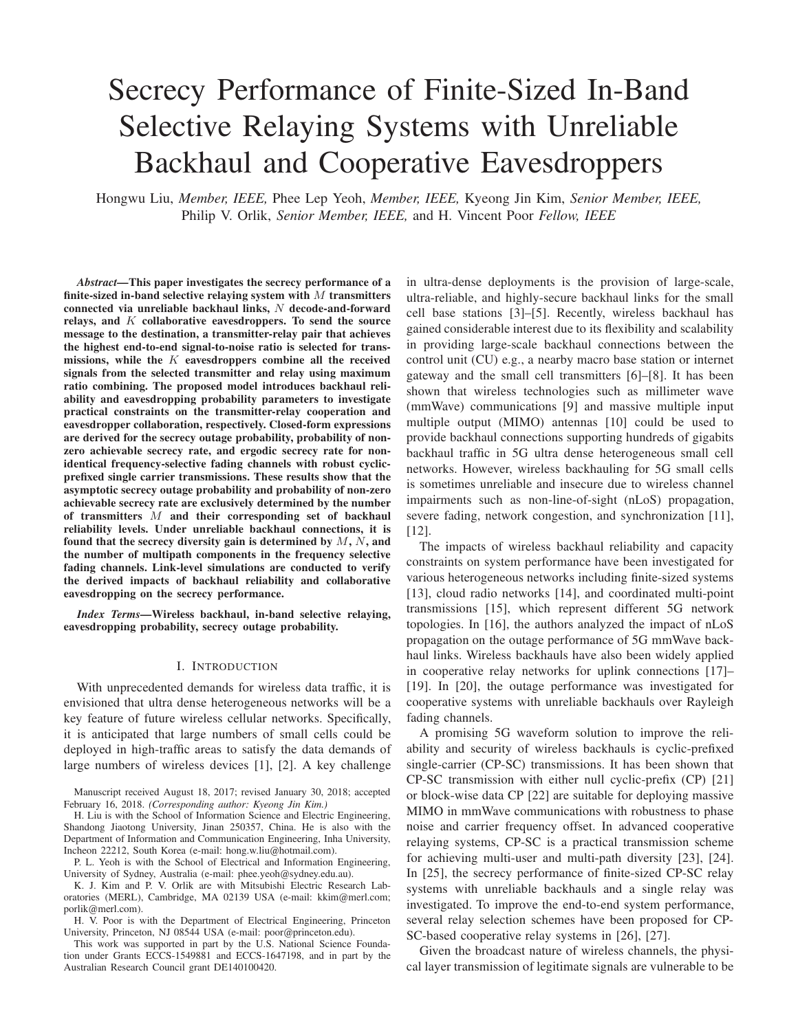# Secrecy Performance of Finite-Sized In-Band Selective Relaying Systems with Unreliable Backhaul and Cooperative Eavesdroppers

Hongwu Liu, *Member, IEEE,* Phee Lep Yeoh, *Member, IEEE,* Kyeong Jin Kim, *Senior Member, IEEE,* Philip V. Orlik, *Senior Member, IEEE,* and H. Vincent Poor *Fellow, IEEE*

*Abstract***—This paper investigates the secrecy performance of a finite-sized in-band selective relaying system with** M **transmitters connected via unreliable backhaul links,** N **decode-and-forward relays, and** K **collaborative eavesdroppers. To send the source message to the destination, a transmitter-relay pair that achieves the highest end-to-end signal-to-noise ratio is selected for transmissions, while the** K **eavesdroppers combine all the received signals from the selected transmitter and relay using maximum ratio combining. The proposed model introduces backhaul reliability and eavesdropping probability parameters to investigate practical constraints on the transmitter-relay cooperation and eavesdropper collaboration, respectively. Closed-form expressions are derived for the secrecy outage probability, probability of nonzero achievable secrecy rate, and ergodic secrecy rate for nonidentical frequency-selective fading channels with robust cyclicprefixed single carrier transmissions. These results show that the asymptotic secrecy outage probability and probability of non-zero achievable secrecy rate are exclusively determined by the number of transmitters** M **and their corresponding set of backhaul reliability levels. Under unreliable backhaul connections, it is found that the secrecy diversity gain is determined by** M**,** N**, and the number of multipath components in the frequency selective fading channels. Link-level simulations are conducted to verify the derived impacts of backhaul reliability and collaborative eavesdropping on the secrecy performance.**

*Index Terms***—Wireless backhaul, in-band selective relaying, eavesdropping probability, secrecy outage probability.**

#### I. INTRODUCTION

With unprecedented demands for wireless data traffic, it is envisioned that ultra dense heterogeneous networks will be a key feature of future wireless cellular networks. Specifically, it is anticipated that large numbers of small cells could be deployed in high-traffic areas to satisfy the data demands of large numbers of wireless devices [1], [2]. A key challenge

Manuscript received August 18, 2017; revised January 30, 2018; accepted February 16, 2018. *(Corresponding author: Kyeong Jin Kim.)*

H. Liu is with the School of Information Science and Electric Engineering, Shandong Jiaotong University, Jinan 250357, China. He is also with the Department of Information and Communication Engineering, Inha University, Incheon 22212, South Korea (e-mail: hong.w.liu@hotmail.com).

P. L. Yeoh is with the School of Electrical and Information Engineering, University of Sydney, Australia (e-mail: phee.yeoh@sydney.edu.au).

K. J. Kim and P. V. Orlik are with Mitsubishi Electric Research Laboratories (MERL), Cambridge, MA 02139 USA (e-mail: kkim@merl.com; porlik@merl.com).

H. V. Poor is with the Department of Electrical Engineering, Princeton University, Princeton, NJ 08544 USA (e-mail: poor@princeton.edu).

This work was supported in part by the U.S. National Science Foundation under Grants ECCS-1549881 and ECCS-1647198, and in part by the Australian Research Council grant DE140100420.

in ultra-dense deployments is the provision of large-scale, ultra-reliable, and highly-secure backhaul links for the small cell base stations [3]–[5]. Recently, wireless backhaul has gained considerable interest due to its flexibility and scalability in providing large-scale backhaul connections between the control unit (CU) e.g., a nearby macro base station or internet gateway and the small cell transmitters [6]–[8]. It has been shown that wireless technologies such as millimeter wave (mmWave) communications [9] and massive multiple input multiple output (MIMO) antennas [10] could be used to provide backhaul connections supporting hundreds of gigabits backhaul traffic in 5G ultra dense heterogeneous small cell networks. However, wireless backhauling for 5G small cells is sometimes unreliable and insecure due to wireless channel impairments such as non-line-of-sight (nLoS) propagation, severe fading, network congestion, and synchronization [11], [12].

The impacts of wireless backhaul reliability and capacity constraints on system performance have been investigated for various heterogeneous networks including finite-sized systems [13], cloud radio networks [14], and coordinated multi-point transmissions [15], which represent different 5G network topologies. In [16], the authors analyzed the impact of nLoS propagation on the outage performance of 5G mmWave backhaul links. Wireless backhauls have also been widely applied in cooperative relay networks for uplink connections [17]– [19]. In [20], the outage performance was investigated for cooperative systems with unreliable backhauls over Rayleigh fading channels.

A promising 5G waveform solution to improve the reliability and security of wireless backhauls is cyclic-prefixed single-carrier (CP-SC) transmissions. It has been shown that CP-SC transmission with either null cyclic-prefix (CP) [21] or block-wise data CP [22] are suitable for deploying massive MIMO in mmWave communications with robustness to phase noise and carrier frequency offset. In advanced cooperative relaying systems, CP-SC is a practical transmission scheme for achieving multi-user and multi-path diversity [23], [24]. In [25], the secrecy performance of finite-sized CP-SC relay systems with unreliable backhauls and a single relay was investigated. To improve the end-to-end system performance, several relay selection schemes have been proposed for CP-SC-based cooperative relay systems in [26], [27].

Given the broadcast nature of wireless channels, the physical layer transmission of legitimate signals are vulnerable to be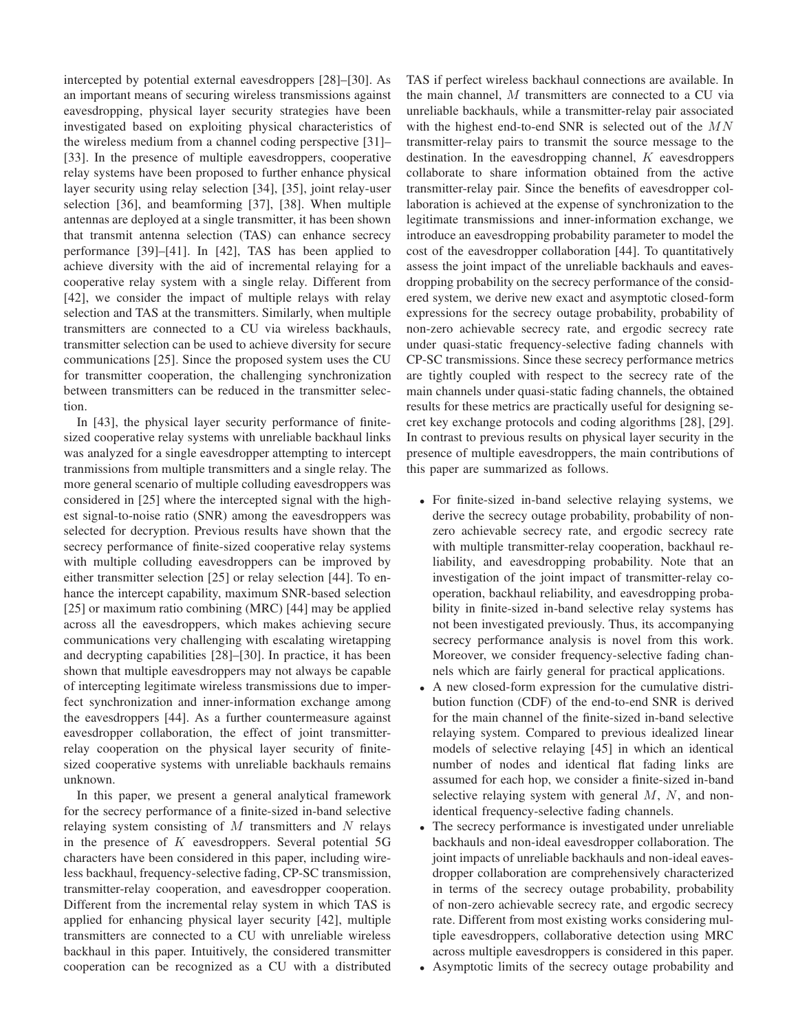intercepted by potential external eavesdroppers [28]–[30]. As an important means of securing wireless transmissions against eavesdropping, physical layer security strategies have been investigated based on exploiting physical characteristics of the wireless medium from a channel coding perspective [31]– [33]. In the presence of multiple eavesdroppers, cooperative relay systems have been proposed to further enhance physical layer security using relay selection [34], [35], joint relay-user selection [36], and beamforming [37], [38]. When multiple antennas are deployed at a single transmitter, it has been shown that transmit antenna selection (TAS) can enhance secrecy performance [39]–[41]. In [42], TAS has been applied to achieve diversity with the aid of incremental relaying for a cooperative relay system with a single relay. Different from [42], we consider the impact of multiple relays with relay selection and TAS at the transmitters. Similarly, when multiple transmitters are connected to a CU via wireless backhauls, transmitter selection can be used to achieve diversity for secure communications [25]. Since the proposed system uses the CU for transmitter cooperation, the challenging synchronization between transmitters can be reduced in the transmitter selection.

In [43], the physical layer security performance of finitesized cooperative relay systems with unreliable backhaul links was analyzed for a single eavesdropper attempting to intercept tranmissions from multiple transmitters and a single relay. The more general scenario of multiple colluding eavesdroppers was considered in [25] where the intercepted signal with the highest signal-to-noise ratio (SNR) among the eavesdroppers was selected for decryption. Previous results have shown that the secrecy performance of finite-sized cooperative relay systems with multiple colluding eavesdroppers can be improved by either transmitter selection [25] or relay selection [44]. To enhance the intercept capability, maximum SNR-based selection [25] or maximum ratio combining (MRC) [44] may be applied across all the eavesdroppers, which makes achieving secure communications very challenging with escalating wiretapping and decrypting capabilities [28]–[30]. In practice, it has been shown that multiple eavesdroppers may not always be capable of intercepting legitimate wireless transmissions due to imperfect synchronization and inner-information exchange among the eavesdroppers [44]. As a further countermeasure against eavesdropper collaboration, the effect of joint transmitterrelay cooperation on the physical layer security of finitesized cooperative systems with unreliable backhauls remains unknown.

In this paper, we present a general analytical framework for the secrecy performance of a finite-sized in-band selective relaying system consisting of  $M$  transmitters and  $N$  relays in the presence of  $K$  eavesdroppers. Several potential 5G characters have been considered in this paper, including wireless backhaul, frequency-selective fading, CP-SC transmission, transmitter-relay cooperation, and eavesdropper cooperation. Different from the incremental relay system in which TAS is applied for enhancing physical layer security [42], multiple transmitters are connected to a CU with unreliable wireless backhaul in this paper. Intuitively, the considered transmitter cooperation can be recognized as a CU with a distributed

TAS if perfect wireless backhaul connections are available. In the main channel, M transmitters are connected to a CU via unreliable backhauls, while a transmitter-relay pair associated with the highest end-to-end SNR is selected out of the  $MN$ transmitter-relay pairs to transmit the source message to the destination. In the eavesdropping channel,  $K$  eavesdroppers collaborate to share information obtained from the active transmitter-relay pair. Since the benefits of eavesdropper collaboration is achieved at the expense of synchronization to the legitimate transmissions and inner-information exchange, we introduce an eavesdropping probability parameter to model the cost of the eavesdropper collaboration [44]. To quantitatively assess the joint impact of the unreliable backhauls and eavesdropping probability on the secrecy performance of the considered system, we derive new exact and asymptotic closed-form expressions for the secrecy outage probability, probability of non-zero achievable secrecy rate, and ergodic secrecy rate under quasi-static frequency-selective fading channels with CP-SC transmissions. Since these secrecy performance metrics are tightly coupled with respect to the secrecy rate of the main channels under quasi-static fading channels, the obtained results for these metrics are practically useful for designing secret key exchange protocols and coding algorithms [28], [29]. In contrast to previous results on physical layer security in the presence of multiple eavesdroppers, the main contributions of this paper are summarized as follows.

- For finite-sized in-band selective relaying systems, we derive the secrecy outage probability, probability of nonzero achievable secrecy rate, and ergodic secrecy rate with multiple transmitter-relay cooperation, backhaul reliability, and eavesdropping probability. Note that an investigation of the joint impact of transmitter-relay cooperation, backhaul reliability, and eavesdropping probability in finite-sized in-band selective relay systems has not been investigated previously. Thus, its accompanying secrecy performance analysis is novel from this work. Moreover, we consider frequency-selective fading channels which are fairly general for practical applications.
- A new closed-form expression for the cumulative distribution function (CDF) of the end-to-end SNR is derived for the main channel of the finite-sized in-band selective relaying system. Compared to previous idealized linear models of selective relaying [45] in which an identical number of nodes and identical flat fading links are assumed for each hop, we consider a finite-sized in-band selective relaying system with general  $M$ ,  $N$ , and nonidentical frequency-selective fading channels.
- The secrecy performance is investigated under unreliable backhauls and non-ideal eavesdropper collaboration. The joint impacts of unreliable backhauls and non-ideal eavesdropper collaboration are comprehensively characterized in terms of the secrecy outage probability, probability of non-zero achievable secrecy rate, and ergodic secrecy rate. Different from most existing works considering multiple eavesdroppers, collaborative detection using MRC across multiple eavesdroppers is considered in this paper.
- Asymptotic limits of the secrecy outage probability and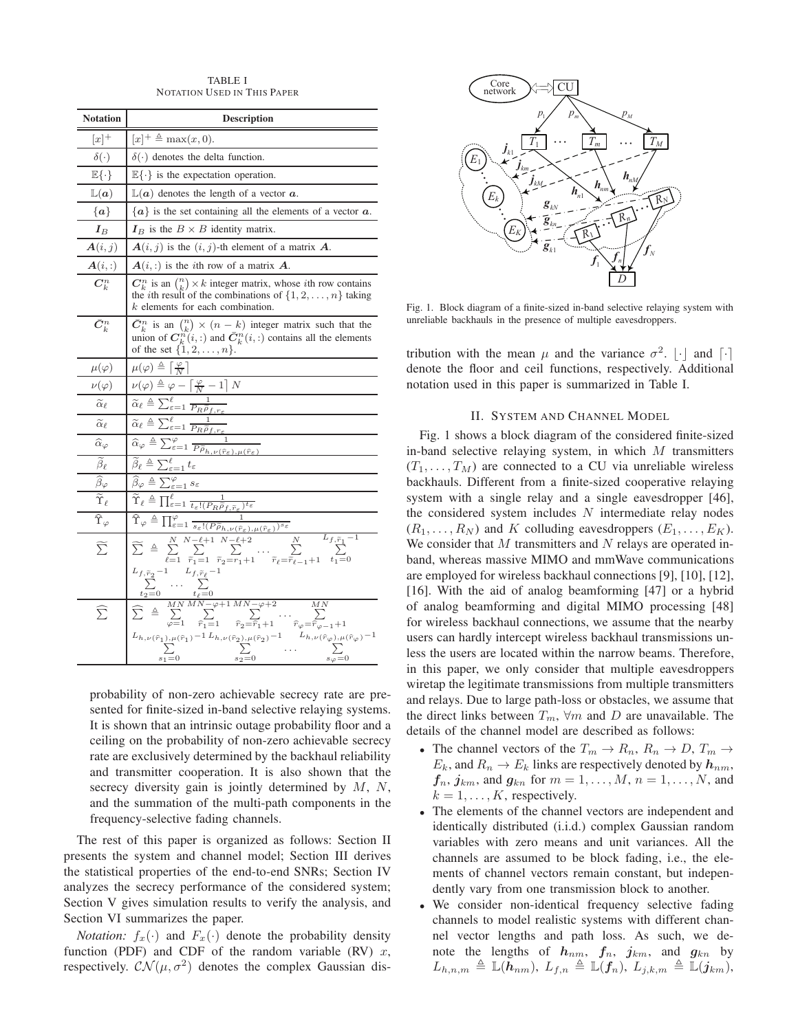TABLE I NOTATION USED IN THIS PAPER

| Notation                      | <b>Description</b>                                                                                                                                                                                                                                                                                                                                                                                                                                                                    |
|-------------------------------|---------------------------------------------------------------------------------------------------------------------------------------------------------------------------------------------------------------------------------------------------------------------------------------------------------------------------------------------------------------------------------------------------------------------------------------------------------------------------------------|
| $[x]^{+}$                     | $[x]^+ \triangleq \max(x, 0).$                                                                                                                                                                                                                                                                                                                                                                                                                                                        |
| $\delta(\cdot)$               | $\delta(\cdot)$ denotes the delta function.                                                                                                                                                                                                                                                                                                                                                                                                                                           |
| $\mathbb{E}\{\cdot\}$         | $\mathbb{E}\{\cdot\}$ is the expectation operation.                                                                                                                                                                                                                                                                                                                                                                                                                                   |
| $\mathbb{L}({\bm{a}})$        | $\mathbb{L}(\boldsymbol{a})$ denotes the length of a vector $\boldsymbol{a}$ .                                                                                                                                                                                                                                                                                                                                                                                                        |
| $\{a\}$                       | $\{a\}$ is the set containing all the elements of a vector $a$ .                                                                                                                                                                                                                                                                                                                                                                                                                      |
| $\bm{I}_B$                    | $I_B$ is the $B \times B$ identity matrix.                                                                                                                                                                                                                                                                                                                                                                                                                                            |
| $\boldsymbol{A}(i,j)$         | $A(i, j)$ is the $(i, j)$ -th element of a matrix A.                                                                                                                                                                                                                                                                                                                                                                                                                                  |
| $\bm{A}(i,:)$                 | $A(i, :)$ is the <i>i</i> th row of a matrix A.                                                                                                                                                                                                                                                                                                                                                                                                                                       |
| $C_k^n$                       | $C_k^n$ is an $\binom{n}{k} \times k$ integer matrix, whose <i>i</i> th row contains<br>the <i>i</i> th result of the combinations of $\{1, 2, , n\}$ taking<br>$k$ elements for each combination.                                                                                                                                                                                                                                                                                    |
| $\bar{C}_k^n$                 | $\bar{C}_k^n$ is an $\binom{n}{k} \times (n-k)$ integer matrix such that the<br>union of $C_k^{\tilde{n}}(i,:)$ and $\bar{C}_k^n(i,:)$ contains all the elements<br>of the set $\{1, 2, , n\}$ .                                                                                                                                                                                                                                                                                      |
| $\mu(\varphi)$                | $\mu(\varphi) \triangleq \left \frac{\varphi}{N}\right $                                                                                                                                                                                                                                                                                                                                                                                                                              |
| $\nu(\varphi)$                |                                                                                                                                                                                                                                                                                                                                                                                                                                                                                       |
| $\alpha_{\ell}$               | $\begin{aligned} &\nu(\varphi) \triangleq \varphi - \left\lceil \frac{\varphi}{N} - 1 \right\rceil N \\ &\widetilde{\alpha}_{\ell} \triangleq \sum_{\varepsilon=1}^{\ell} \frac{1}{P_R \widetilde{\rho}_{f,r_{\varepsilon}}} \end{aligned}$                                                                                                                                                                                                                                           |
| $\alpha_{\ell}$               | $\begin{aligned} &\overline{\widetilde{\alpha}_\ell \triangleq \sum_{\varepsilon=1}^\ell \frac{1}{P_R \widetilde{\rho}_{f, r_\varepsilon}}} \\ &\overline{\widehat{\alpha}_\varphi \triangleq \sum_{\varepsilon=1}^\varphi \frac{1}{\overline{P} \widetilde{\rho}_{h, \nu}(\widehat{r}_\varepsilon), \mu(\widehat{r}_\varepsilon)}} \end{aligned}$                                                                                                                                    |
| $\widehat{\alpha}_{\varphi}$  |                                                                                                                                                                                                                                                                                                                                                                                                                                                                                       |
| $\beta_{\ell}$                | $\widetilde{\beta}_{\ell} \triangleq \sum_{\varepsilon=1}^{\ell} t_{\varepsilon}$                                                                                                                                                                                                                                                                                                                                                                                                     |
| $\widetilde{\beta}_{\varphi}$ | $\widehat{\beta}_{\varphi} \triangleq \sum_{\varepsilon=1}^{\varphi} s_{\varepsilon}$                                                                                                                                                                                                                                                                                                                                                                                                 |
| $\tilde{\Upsilon}_{\ell}$     | $\overbrace{\widetilde{\Upsilon}_{\ell}}^{\mu\varphi} \triangleq \overbrace{\prod_{\varepsilon=1}^{\ell}}^{\text{Lc}} \frac{1}{t_{\varepsilon}!(P_R\widetilde{\rho}_{f,\widetilde{r}_{\varepsilon}})^{t_{\varepsilon}}}$                                                                                                                                                                                                                                                              |
| $\widehat{\Upsilon}_\varphi$  |                                                                                                                                                                                                                                                                                                                                                                                                                                                                                       |
| $\widetilde{\Sigma}$          | $\begin{aligned} &\overbrace{\widehat{\Upsilon}_{\varphi}\triangleq\prod_{\varepsilon=1}^{\varphi}\frac{1}{\frac{1}{s_{\varepsilon}!(P\widetilde{\rho}_{h,\nu}(\widehat{r}_{\varepsilon}),\mu(\widehat{r}_{\varepsilon}))^{s_{\varepsilon}}}{\sum\limits_{\ell=1}^N\sum\limits_{\widetilde{r}_1=1}^{N}\sum\limits_{\widetilde{r}_2=r_1+1}^{N-\ell+1}\cdots\sum\limits_{\widetilde{r}_{\ell}=\widetilde{r}_{\ell-1}+1}^{N}\sum\limits_{t_1=0}^{L_{f,\widetilde{r}_1}-1} \end{aligned}$ |
|                               | $\sum_{t_2=0}^{J,r_2-1} \dots \sum_{t_r=0}^{L_{f,\widetilde{r}_{\ell}}-1}$                                                                                                                                                                                                                                                                                                                                                                                                            |
| $\widehat{\Sigma}$            | $\triangleq \sum_{\varphi=1}^{M N} \sum_{\widehat{r}_1=1}^{M N - \varphi + 1} \sum_{\widehat{r}_2=\widehat{r}_1+1}^{M N - \varphi + 1} \dots \sum_{\widehat{r}_{\varphi}=\widehat{r}_{\varphi-1}+1}^{M N}$<br>$L_{h,\nu(\widehat{r}_1),\mu(\widehat{r}_1)}-1\,L_{h,\nu(\widehat{r}_2),\mu(\widehat{r}_2)}-1\, \, L_{h,\nu(\widehat{r}_{\varphi}),\mu(\widehat{r}_{\varphi})}-1 \\ \sum_{\centerdot\ldots} \qquad \qquad \sum_{\centerdot\ldots} \qquad$                               |
|                               | $s_2 = 0$<br>$s_1=0$<br>$s_{\varphi}=0$                                                                                                                                                                                                                                                                                                                                                                                                                                               |

probability of non-zero achievable secrecy rate are presented for finite-sized in-band selective relaying systems. It is shown that an intrinsic outage probability floor and a ceiling on the probability of non-zero achievable secrecy rate are exclusively determined by the backhaul reliability and transmitter cooperation. It is also shown that the secrecy diversity gain is jointly determined by  $M$ ,  $N$ , and the summation of the multi-path components in the frequency-selective fading channels.

The rest of this paper is organized as follows: Section II presents the system and channel model; Section III derives the statistical properties of the end-to-end SNRs; Section IV analyzes the secrecy performance of the considered system; Section V gives simulation results to verify the analysis, and Section VI summarizes the paper.

*Notation:*  $f_x(\cdot)$  and  $F_x(\cdot)$  denote the probability density function (PDF) and CDF of the random variable (RV)  $x$ , respectively.  $\mathcal{CN}(\mu, \sigma^2)$  denotes the complex Gaussian dis-



Fig. 1. Block diagram of a finite-sized in-band selective relaying system with unreliable backhauls in the presence of multiple eavesdroppers.

tribution with the mean  $\mu$  and the variance  $\sigma^2$ . [.] and [.] denote the floor and ceil functions, respectively. Additional notation used in this paper is summarized in Table I.

# II. SYSTEM AND CHANNEL MODEL

Fig. 1 shows a block diagram of the considered finite-sized in-band selective relaying system, in which  $M$  transmitters  $(T_1, \ldots, T_M)$  are connected to a CU via unreliable wireless backhauls. Different from a finite-sized cooperative relaying system with a single relay and a single eavesdropper [46], the considered system includes  $N$  intermediate relay nodes  $(R_1, \ldots, R_N)$  and K colluding eavesdroppers  $(E_1, \ldots, E_K)$ . We consider that  $M$  transmitters and  $N$  relays are operated inband, whereas massive MIMO and mmWave communications are employed for wireless backhaul connections [9], [10], [12], [16]. With the aid of analog beamforming [47] or a hybrid of analog beamforming and digital MIMO processing [48] for wireless backhaul connections, we assume that the nearby users can hardly intercept wireless backhaul transmissions unless the users are located within the narrow beams. Therefore, in this paper, we only consider that multiple eavesdroppers wiretap the legitimate transmissions from multiple transmitters and relays. Due to large path-loss or obstacles, we assume that the direct links between  $T_m$ ,  $\forall m$  and D are unavailable. The details of the channel model are described as follows:

- The channel vectors of the  $T_m \to R_n$ ,  $R_n \to D$ ,  $T_m \to$  $E_k$ , and  $R_n \to E_k$  links are respectively denoted by  $h_{nm}$ ,  $f_n$ ,  $j_{km}$ , and  $g_{kn}$  for  $m = 1, \ldots, M$ ,  $n = 1, \ldots, N$ , and  $k = 1, \ldots, K$ , respectively.
- The elements of the channel vectors are independent and identically distributed (i.i.d.) complex Gaussian random variables with zero means and unit variances. All the channels are assumed to be block fading, i.e., the elements of channel vectors remain constant, but independently vary from one transmission block to another.
- We consider non-identical frequency selective fading channels to model realistic systems with different channel vector lengths and path loss. As such, we denote the lengths of  $h_{nm}$ ,  $f_n$ ,  $j_{km}$ , and  $g_{kn}$  by  $L_{h,n,m} \triangleq \mathbb{L}(\mathbf{h}_{nm}), L_{f,n} \triangleq \mathbb{L}(f_n), L_{j,k,m} \triangleq \mathbb{L}(j_{km}),$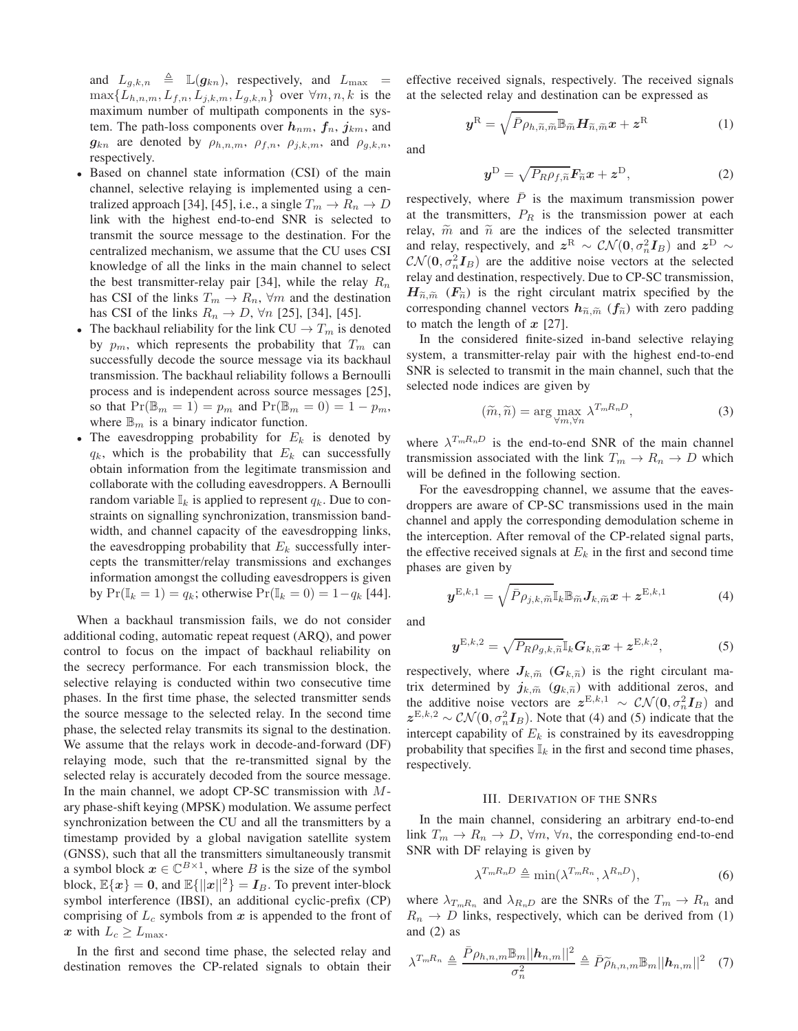and  $L_{a,k,n} \triangleq \mathbb{L}(g_{kn})$ , respectively, and  $L_{\text{max}} =$  $\max\{L_{h,n,m}, L_{f,n}, L_{j,k,m}, L_{g,k,n}\}$  over  $\forall m, n, k$  is the maximum number of multipath components in the system. The path-loss components over  $h_{nm}$ ,  $f_n$ ,  $j_{km}$ , and  $g_{kn}$  are denoted by  $\rho_{h,n,m}$ ,  $\rho_{f,n}$ ,  $\rho_{j,k,m}$ , and  $\rho_{g,k,n}$ , respectively.

- Based on channel state information (CSI) of the main channel, selective relaying is implemented using a centralized approach [34], [45], i.e., a single  $T_m \to R_n \to D$ link with the highest end-to-end SNR is selected to transmit the source message to the destination. For the centralized mechanism, we assume that the CU uses CSI knowledge of all the links in the main channel to select the best transmitter-relay pair [34], while the relay  $R_n$ has CSI of the links  $T_m \to R_n$ ,  $\forall m$  and the destination has CSI of the links  $R_n \to D$ ,  $\forall n$  [25], [34], [45].
- The backhaul reliability for the link  $CU \to T_m$  is denoted by  $p_m$ , which represents the probability that  $T_m$  can successfully decode the source message via its backhaul transmission. The backhaul reliability follows a Bernoulli process and is independent across source messages [25], so that  $Pr(\mathbb{B}_m = 1) = p_m$  and  $Pr(\mathbb{B}_m = 0) = 1 - p_m$ , where  $\mathbb{B}_m$  is a binary indicator function.
- The eavesdropping probability for  $E_k$  is denoted by  $q_k$ , which is the probability that  $E_k$  can successfully obtain information from the legitimate transmission and collaborate with the colluding eavesdroppers. A Bernoulli random variable  $\mathbb{I}_k$  is applied to represent  $q_k$ . Due to constraints on signalling synchronization, transmission bandwidth, and channel capacity of the eavesdropping links, the eavesdropping probability that  $E_k$  successfully intercepts the transmitter/relay transmissions and exchanges information amongst the colluding eavesdroppers is given by  $Pr(I_k = 1) = q_k$ ; otherwise  $Pr(I_k = 0) = 1 - q_k$  [44].

When a backhaul transmission fails, we do not consider additional coding, automatic repeat request (ARQ), and power control to focus on the impact of backhaul reliability on the secrecy performance. For each transmission block, the selective relaying is conducted within two consecutive time phases. In the first time phase, the selected transmitter sends the source message to the selected relay. In the second time phase, the selected relay transmits its signal to the destination. We assume that the relays work in decode-and-forward (DF) relaying mode, such that the re-transmitted signal by the selected relay is accurately decoded from the source message. In the main channel, we adopt CP-SC transmission with  $M$ ary phase-shift keying (MPSK) modulation. We assume perfect synchronization between the CU and all the transmitters by a timestamp provided by a global navigation satellite system (GNSS), such that all the transmitters simultaneously transmit a symbol block  $x \in \mathbb{C}^{B \times 1}$ , where B is the size of the symbol block,  $\mathbb{E}\{\bm{x}\} = \bm{0}$ , and  $\mathbb{E}\{\bm{x} \mid \bm{x} \mid \bm{x} \} = \bm{I}_B$ . To prevent inter-block symbol interference (IBSI), an additional cyclic-prefix (CP) comprising of  $L_c$  symbols from  $x$  is appended to the front of x with  $L_c \geq L_{\text{max}}$ .

In the first and second time phase, the selected relay and destination removes the CP-related signals to obtain their effective received signals, respectively. The received signals at the selected relay and destination can be expressed as

$$
\boldsymbol{y}^{\mathrm{R}} = \sqrt{\bar{P}\rho_{h,\widetilde{n},\widetilde{m}}}\mathbb{B}_{\widetilde{m}}\boldsymbol{H}_{\widetilde{n},\widetilde{m}}\boldsymbol{x} + \boldsymbol{z}^{\mathrm{R}} \tag{1}
$$

and

 $\mathbf{r}$ 

$$
J^D = \sqrt{P_R \rho_{f,\widetilde{n}}} \mathbf{F}_{\widetilde{n}} x + z^D, \tag{2}
$$

respectively, where  $\overline{P}$  is the maximum transmission power at the transmitters,  $P_R$  is the transmission power at each relay,  $\tilde{m}$  and  $\tilde{n}$  are the indices of the selected transmitter and relay, respectively, and  $z^{\text{R}} \sim \mathcal{CN}(0, \sigma_n^2 \mathbf{I}_B)$  and  $z^{\text{D}} \sim$  $\mathcal{CN}(\mathbf{0}, \sigma_n^2 \mathbf{I}_B)$  are the additive noise vectors at the selected relay and destination, respectively. Due to CP-SC transmission,  $H_{\widetilde{n},\widetilde{m}}$  ( $F_{\widetilde{n}}$ ) is the right circulant matrix specified by the corresponding channel vectors  $h_{\tilde{n},\tilde{m}}(f_{\tilde{n}})$  with zero padding to match the length of  $x$  [27].

In the considered finite-sized in-band selective relaying system, a transmitter-relay pair with the highest end-to-end SNR is selected to transmit in the main channel, such that the selected node indices are given by

$$
(\widetilde{m}, \widetilde{n}) = \arg \max_{\forall m, \forall n} \lambda^{T_m R_n D}, \tag{3}
$$

where  $\lambda^{T_m R_n D}$  is the end-to-end SNR of the main channel transmission associated with the link  $T_m \to R_n \to D$  which will be defined in the following section.

For the eavesdropping channel, we assume that the eavesdroppers are aware of CP-SC transmissions used in the main channel and apply the corresponding demodulation scheme in the interception. After removal of the CP-related signal parts, the effective received signals at  $E_k$  in the first and second time phases are given by

$$
\boldsymbol{y}^{\mathrm{E},k,1} = \sqrt{\bar{P}\rho_{j,k,\widetilde{m}}}\mathbb{I}_{k}\mathbb{B}_{\widetilde{m}}\boldsymbol{J}_{k,\widetilde{m}}\boldsymbol{x} + \boldsymbol{z}^{\mathrm{E},k,1}
$$
(4)

and

 $\mathbf{r}$ 

$$
F^{k,2} = \sqrt{P_R \rho_{g,k,\widetilde{n}}} \mathbb{I}_k G_{k,\widetilde{n}} x + z^{\mathcal{E},k,2}, \tag{5}
$$

respectively, where  $J_{k,\tilde{m}}$  ( $G_{k,\tilde{n}}$ ) is the right circulant matrix determined by  $j_{k,\tilde{m}}(g_{k,\tilde{n}})$  with additional zeros, and the additive noise vectors are  $z^{E,k,1} \sim \mathcal{CN}(0, \sigma_n^2 I_B)$  and  $z^{\text{E},k,2} \sim \mathcal{CN}(0,\sigma_n^2 \mathbf{I}_B)$ . Note that (4) and (5) indicate that the intercept capability of  $E_k$  is constrained by its eavesdropping probability that specifies  $\mathbb{I}_k$  in the first and second time phases, respectively.

#### III. DERIVATION OF THE SNRS

In the main channel, considering an arbitrary end-to-end link  $T_m \to R_n \to D$ ,  $\forall m$ ,  $\forall n$ , the corresponding end-to-end SNR with DF relaying is given by

$$
\lambda^{T_m R_n D} \triangleq \min(\lambda^{T_m R_n}, \lambda^{R_n D}), \tag{6}
$$

where  $\lambda_{T_mR_n}$  and  $\lambda_{R_nD}$  are the SNRs of the  $T_m \to R_n$  and  $R_n \rightarrow D$  links, respectively, which can be derived from (1) and (2) as

$$
\lambda^{T_m R_n} \triangleq \frac{\bar{P}\rho_{h,n,m} \mathbb{B}_m ||\boldsymbol{h}_{n,m}||^2}{\sigma_n^2} \triangleq \bar{P}\widetilde{\rho}_{h,n,m} \mathbb{B}_m ||\boldsymbol{h}_{n,m}||^2 \quad (7)
$$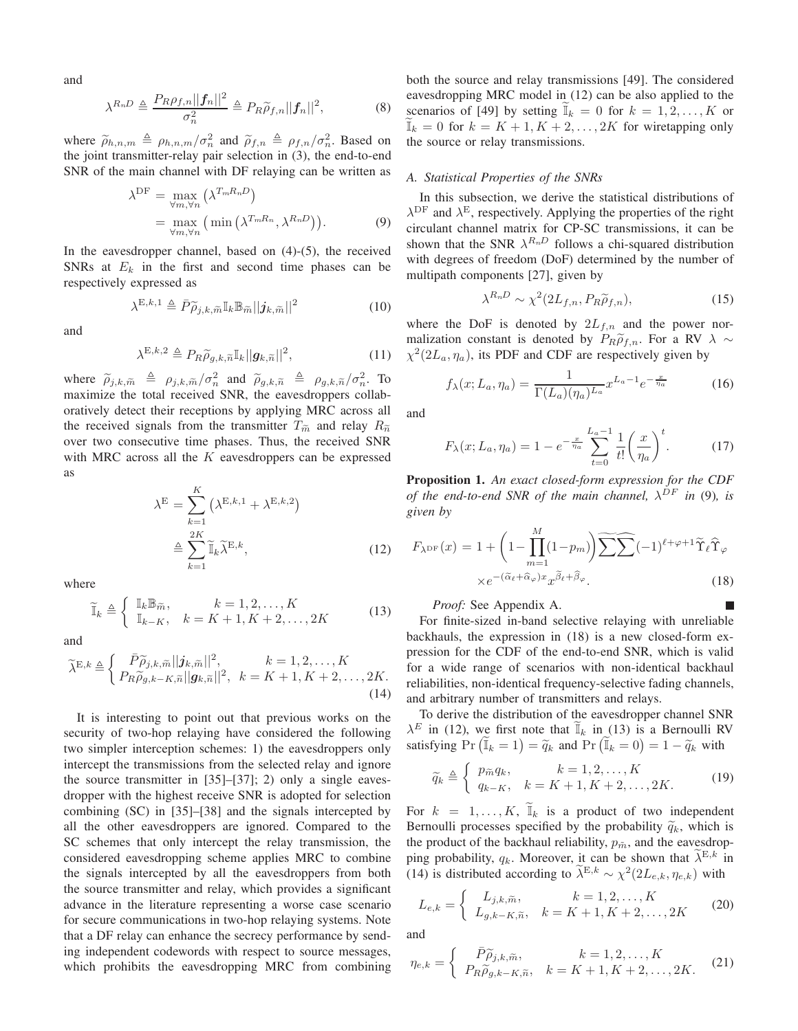and

$$
\lambda^{R_n D} \triangleq \frac{P_R \rho_{f,n} ||\mathbf{f}_n||^2}{\sigma_n^2} \triangleq P_R \widetilde{\rho}_{f,n} ||\mathbf{f}_n||^2, \tag{8}
$$

where  $\widetilde{\rho}_{h,n,m} \triangleq \rho_{h,n,m}/\sigma_n^2$  and  $\widetilde{\rho}_{f,n} \triangleq \rho_{f,n}/\sigma_n^2$ . Based on the joint transmitter-relay pair selection in (3), the end-to-end SNR of the main channel with DF relaying can be written as

$$
\lambda^{\text{DF}} = \max_{\forall m, \forall n} (\lambda^{T_m R_n D})
$$
  
= 
$$
\max_{\forall m, \forall n} (\min (\lambda^{T_m R_n}, \lambda^{R_n D})).
$$
 (9)

In the eavesdropper channel, based on (4)-(5), the received SNRs at  $E_k$  in the first and second time phases can be respectively expressed as

$$
\lambda^{\mathcal{E},k,1} \triangleq \bar{P}\widetilde{\rho}_{j,k,\widetilde{m}}\mathbb{I}_{k}\mathbb{B}_{\widetilde{m}}||\dot{\mathbf{j}}_{k,\widetilde{m}}||^{2}
$$
 (10)

and

$$
\lambda^{\mathcal{E},k,2} \triangleq P_R \widetilde{\rho}_{g,k,\widetilde{n}} \mathbb{I}_k ||g_{k,\widetilde{n}}||^2, \tag{11}
$$

where  $\tilde{\rho}_{j,k,\tilde{m}} \triangleq \rho_{j,k,\tilde{m}}/\sigma_n^2$  and  $\tilde{\rho}_{g,k,\tilde{n}} \triangleq \rho_{g,k,\tilde{n}}/\sigma_n^2$ . To maximize the total received SNR, the eavesdroppers collaboratively detect their receptions by applying MRC across all the received signals from the transmitter  $T_{\tilde{m}}$  and relay  $R_{\tilde{n}}$ over two consecutive time phases. Thus, the received SNR with MRC across all the  $K$  eavesdroppers can be expressed as

$$
\lambda^{\mathcal{E}} = \sum_{k=1}^{K} (\lambda^{\mathcal{E},k,1} + \lambda^{\mathcal{E},k,2})
$$

$$
\triangleq \sum_{k=1}^{2K} \widetilde{\mathbb{I}}_k \widetilde{\lambda}^{\mathcal{E},k},
$$
(12)

where

$$
\widetilde{\mathbb{I}}_k \triangleq \left\{ \begin{array}{ll} \mathbb{I}_k \mathbb{B}_{\widetilde{m}}, & k = 1, 2, \dots, K \\ \mathbb{I}_{k-K}, & k = K + 1, K + 2, \dots, 2K \end{array} \right.
$$

and

$$
\widetilde{\lambda}^{\mathrm{E},k} \triangleq \begin{cases}\n\bar{P}\widetilde{\rho}_{j,k,\widetilde{m}}||\mathbf{j}_{k,\widetilde{m}}||^{2}, & k = 1,2,\ldots,K \\
P_{R}\widetilde{\rho}_{g,k-K,\widetilde{n}}||\mathbf{g}_{k,\widetilde{n}}||^{2}, & k = K+1, K+2,\ldots,2K.\n\end{cases} \tag{14}
$$

It is interesting to point out that previous works on the security of two-hop relaying have considered the following two simpler interception schemes: 1) the eavesdroppers only intercept the transmissions from the selected relay and ignore the source transmitter in [35]–[37]; 2) only a single eavesdropper with the highest receive SNR is adopted for selection combining (SC) in [35]–[38] and the signals intercepted by all the other eavesdroppers are ignored. Compared to the SC schemes that only intercept the relay transmission, the considered eavesdropping scheme applies MRC to combine the signals intercepted by all the eavesdroppers from both the source transmitter and relay, which provides a significant advance in the literature representing a worse case scenario for secure communications in two-hop relaying systems. Note that a DF relay can enhance the secrecy performance by sending independent codewords with respect to source messages, which prohibits the eavesdropping MRC from combining both the source and relay transmissions [49]. The considered eavesdropping MRC model in (12) can be also applied to the scenarios of [49] by setting  $\mathbb{I}_k = 0$  for  $k = 1, 2, \ldots, K$  or  $\mathbb{I}_k = 0$  for  $k = K + 1, K + 2, \ldots, 2K$  for wiretapping only the source or relay transmissions.

# *A. Statistical Properties of the SNRs*

In this subsection, we derive the statistical distributions of  $\lambda^{\text{DF}}$  and  $\lambda^{\text{E}}$ , respectively. Applying the properties of the right circulant channel matrix for CP-SC transmissions, it can be shown that the SNR  $\lambda^{R_nD}$  follows a chi-squared distribution with degrees of freedom (DoF) determined by the number of multipath components [27], given by

$$
\lambda^{R_n D} \sim \chi^2(2L_{f,n}, P_R \tilde{\rho}_{f,n}),\tag{15}
$$

where the DoF is denoted by  $2L_{f,n}$  and the power normalization constant is denoted by  $P_R \widetilde{\rho}_{f,n}$ . For a RV  $\lambda \sim$  $\chi^2(2L_a, \eta_a)$ , its PDF and CDF are respectively given by

$$
f_{\lambda}(x;L_a,\eta_a) = \frac{1}{\Gamma(L_a)(\eta_a)^{L_a}} x^{L_a - 1} e^{-\frac{x}{\eta_a}}
$$
(16)

and

(13)

$$
F_{\lambda}(x; L_a, \eta_a) = 1 - e^{-\frac{x}{\eta_a}} \sum_{t=0}^{L_a - 1} \frac{1}{t!} \left(\frac{x}{\eta_a}\right)^t.
$$
 (17)

**Proposition 1.** *An exact closed-form expression for the CDF of the end-to-end SNR of the main channel,* λ DF *in* (9)*, is given by*

$$
F_{\lambda^{\rm DF}}(x) = 1 + \left(1 - \prod_{m=1}^{M} (1 - p_m)\right) \widetilde{\sum} \widetilde{\sum} (-1)^{\ell + \varphi + 1} \widetilde{\Upsilon}_{\ell} \widehat{\Upsilon}_{\varphi}
$$

$$
\times e^{-(\widetilde{\alpha}_{\ell} + \widehat{\alpha}_{\varphi}) x} x^{\widetilde{\beta}_{\ell} + \widehat{\beta}_{\varphi}}.
$$
(18)

*Proof:* See Appendix A.

For finite-sized in-band selective relaying with unreliable backhauls, the expression in (18) is a new closed-form expression for the CDF of the end-to-end SNR, which is valid for a wide range of scenarios with non-identical backhaul reliabilities, non-identical frequency-selective fading channels, and arbitrary number of transmitters and relays.

To derive the distribution of the eavesdropper channel SNR  $\lambda^E$  in (12), we first note that  $\tilde{I}_k$  in (13) is a Bernoulli RV satisfying  $Pr\left(\tilde{\mathbb{I}}_k = 1\right) = \tilde{q}_k$  and  $Pr\left(\tilde{\mathbb{I}}_k = 0\right) = 1 - \tilde{q}_k$  with

$$
\widetilde{q}_k \triangleq \begin{cases}\n p_{\widetilde{m}}q_k, & k = 1, 2, \dots, K \\
 q_{k-K}, & k = K+1, K+2, \dots, 2K.\n\end{cases}
$$
\n(19)

For  $k = 1, ..., K$ ,  $\tilde{\mathbb{I}}_k$  is a product of two independent Bernoulli processes specified by the probability  $\tilde{q}_k$ , which is the product of the backhaul reliability,  $p_{\tilde{m}}$ , and the eavesdropping probability,  $q_k$ . Moreover, it can be shown that  $\lambda^{E,k}$  in (14) is distributed according to  $\lambda^{E,k} \sim \chi^2(2L_{e,k}, \eta_{e,k})$  with

$$
L_{e,k} = \begin{cases} L_{j,k,\widetilde{m}}, & k = 1,2,\ldots,K \\ L_{g,k-K,\widetilde{n}}, & k = K+1, K+2,\ldots,2K \end{cases}
$$
 (20)

and

$$
\eta_{e,k} = \begin{cases} \bar{P}\widetilde{\rho}_{j,k,\widetilde{m}}, & k = 1,2,\ldots,K\\ P_R\widetilde{\rho}_{g,k-K,\widetilde{n}}, & k = K+1, K+2,\ldots,2K. \end{cases}
$$
(21)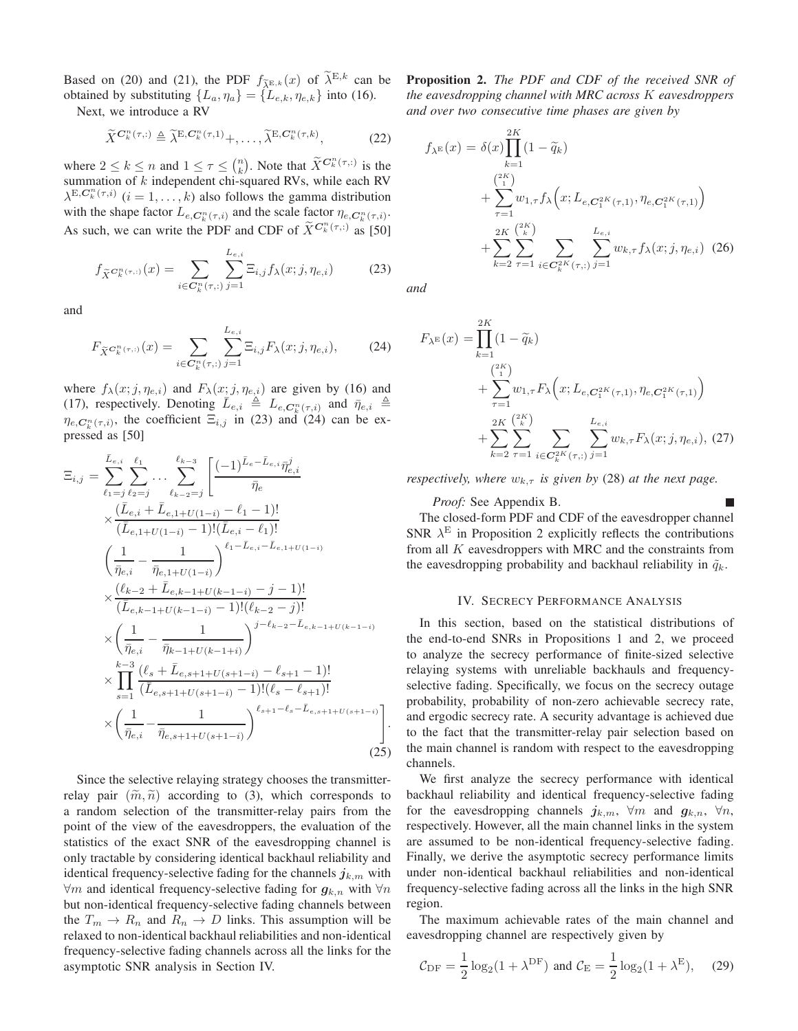Based on (20) and (21), the PDF  $f_{\tilde{\lambda}E,k}(x)$  of  $\tilde{\lambda}^{E,k}$  can be obtained by substituting  $\{L_a, \eta_a\} = \{L_{e,k}, \eta_{e,k}\}\$ into (16).

Next, we introduce a RV

$$
\widetilde{X}^{\mathbf{C}_k^n(\tau,\cdot)} \triangleq \widetilde{\lambda}^{\mathrm{E},\mathbf{C}_k^n(\tau,1)} +, \ldots, \widetilde{\lambda}^{\mathrm{E},\mathbf{C}_k^n(\tau,k)},\tag{22}
$$

where  $2 \leq k \leq n$  and  $1 \leq \tau \leq {n \choose k}$ . Note that  $\widetilde{X}^{C_k^n(\tau,:)}$  is the summation of  $k$  independent chi-squared RVs, while each RV  $\lambda^{\mathrm{E}, \mathbf{C}_k^n(\tau,i)}$   $(i = 1, \ldots, k)$  also follows the gamma distribution with the shape factor  $L_{e, \mathbb{C}_{k}^{n}(\tau, i)}$  and the scale factor  $\eta_{e, \mathbb{C}_{k}^{n}(\tau, i)}$ . As such, we can write the PDF and CDF of  $\widetilde{X}^{C_k^n(\tau,:)}$  as [50]

$$
f_{\widetilde{X}}c_{k}^{n_{(\tau,\cdot)}}(x) = \sum_{i \in \mathbb{C}_{k}^{n}(\tau,\cdot)} \sum_{j=1}^{L_{e,i}} \Xi_{i,j} f_{\lambda}(x; j, \eta_{e,i})
$$
(23)

and

$$
F_{\widetilde{X}}c_{k}^{n}(\tau,:)}(x) = \sum_{i \in \mathcal{C}_{k}^{n}(\tau,:)} \sum_{j=1}^{L_{e,i}} \Xi_{i,j} F_{\lambda}(x;j,\eta_{e,i}), \qquad (24)
$$

where  $f_{\lambda}(x; j, \eta_{e,i})$  and  $F_{\lambda}(x; j, \eta_{e,i})$  are given by (16) and (17), respectively. Denoting  $\bar{L}_{e,i} \triangleq L_{e,C_k^n(\tau,i)}$  and  $\bar{\eta}_{e,i} \triangleq$  $\eta_{e,C_k^n(\tau,i)}$ , the coefficient  $\Xi_{i,j}$  in (23) and (24) can be expressed as [50]

$$
\Xi_{i,j} = \sum_{\ell_1=j}^{\bar{L}_{e,i}} \sum_{\ell_2=j}^{\ell_1} \cdots \sum_{\ell_{k-2}=j}^{\ell_{k-3}} \left[ \frac{(-1)^{\bar{L}_e - \bar{L}_{e,i}} \bar{\eta}_{e,i}^j}{\bar{\eta}_e} \right. \times \frac{(\bar{L}_{e,i} + \bar{L}_{e,1+U(1-i)} - \ell_1 - 1)!}{(\bar{L}_{e,1+U(1-i)} - 1)!(\bar{L}_{e,i} - \ell_1)!} \right. \left. \left( \frac{1}{\bar{\eta}_{e,i}} - \frac{1}{\bar{\eta}_{e,1+U(1-i)}} \right)^{\ell_1 - \bar{L}_{e,i} - \bar{L}_{e,1+U(1-i)}} \right. \times \frac{(\ell_{k-2} + \bar{L}_{e,k-1+U(k-1-i)} - j - 1)!}{(\bar{L}_{e,k-1+U(k-1-i)} - 1)!(\ell_{k-2} - j)!} \times \left( \frac{1}{\bar{\eta}_{e,i}} - \frac{1}{\bar{\eta}_{k-1+U(k-1+i)}} \right)^{j-\ell_{k-2} - \bar{L}_{e,k-1+U(k-1-i)}} \times \prod_{s=1}^{k-3} \frac{(\ell_s + \bar{L}_{e,s+1+U(s+1-i)} - \ell_{s+1} - 1)!}{(\bar{L}_{e,s+1+U(s+1-i)} - 1)!(\ell_s - \ell_{s+1})!} \times \left( \frac{1}{\bar{\eta}_{e,i}} - \frac{1}{\bar{\eta}_{e,s+1+U(s+1-i)}} \right)^{\ell_{s+1} - \ell_s - \bar{L}_{e,s+1+U(s+1-i)}} \right) \tag{25}
$$

Since the selective relaying strategy chooses the transmitterrelay pair  $(\tilde{m}, \tilde{n})$  according to (3), which corresponds to a random selection of the transmitter-relay pairs from the point of the view of the eavesdroppers, the evaluation of the statistics of the exact SNR of the eavesdropping channel is only tractable by considering identical backhaul reliability and identical frequency-selective fading for the channels  $j_{k,m}$  with  $\forall m$  and identical frequency-selective fading for  $g_{k,n}$  with  $\forall n$ but non-identical frequency-selective fading channels between the  $T_m \to R_n$  and  $R_n \to D$  links. This assumption will be relaxed to non-identical backhaul reliabilities and non-identical frequency-selective fading channels across all the links for the asymptotic SNR analysis in Section IV.

**Proposition 2.** *The PDF and CDF of the received SNR of the eavesdropping channel with MRC across* K *eavesdroppers and over two consecutive time phases are given by*

$$
f_{\lambda^{E}}(x) = \delta(x) \prod_{k=1}^{2K} (1 - \widetilde{q}_{k})
$$
  
+ 
$$
\sum_{\tau=1}^{2K} w_{1,\tau} f_{\lambda}\left(x; L_{e, C_{1}^{2K}(\tau,1)}, \eta_{e, C_{1}^{2K}(\tau,1)}\right)
$$
  
+ 
$$
\sum_{k=2}^{2K} \sum_{\tau=1}^{2K} \sum_{i \in C_{k}^{2K}(\tau,1)} \sum_{j=1}^{L_{e,i}} w_{k,\tau} f_{\lambda}(x; j, \eta_{e,i})
$$
(26)

*and*

.

 $\lambda$ 

$$
F_{\lambda^{E}}(x) = \prod_{k=1}^{2K} (1 - \widetilde{q}_{k})
$$
  
+ 
$$
\sum_{\tau=1}^{2K} w_{1,\tau} F_{\lambda} (x; L_{e,C_{1}^{2K}(\tau,1)}, \eta_{e,C_{1}^{2K}(\tau,1)})
$$
  
+ 
$$
\sum_{k=2}^{2K} \sum_{\tau=1}^{2K} \sum_{i \in C_{k}^{2K}(\tau,1)} \sum_{j=1}^{L_{e,i}} w_{k,\tau} F_{\lambda}(x; j, \eta_{e,i}), (27)
$$

*respectively, where*  $w_{k,\tau}$  *is given by* (28) *at the next page.* 

*Proof:* See Appendix B. The closed-form PDF and CDF of the eavesdropper channel SNR  $\lambda^E$  in Proposition 2 explicitly reflects the contributions from all  $K$  eavesdroppers with MRC and the constraints from the eavesdropping probability and backhaul reliability in  $\tilde{q}_k$ .

# IV. SECRECY PERFORMANCE ANALYSIS

In this section, based on the statistical distributions of the end-to-end SNRs in Propositions 1 and 2, we proceed to analyze the secrecy performance of finite-sized selective relaying systems with unreliable backhauls and frequencyselective fading. Specifically, we focus on the secrecy outage probability, probability of non-zero achievable secrecy rate, and ergodic secrecy rate. A security advantage is achieved due to the fact that the transmitter-relay pair selection based on the main channel is random with respect to the eavesdropping channels.

We first analyze the secrecy performance with identical backhaul reliability and identical frequency-selective fading for the eavesdropping channels  $j_{k,m}$ ,  $\forall m$  and  $g_{k,n}$ ,  $\forall n$ , respectively. However, all the main channel links in the system are assumed to be non-identical frequency-selective fading. Finally, we derive the asymptotic secrecy performance limits under non-identical backhaul reliabilities and non-identical frequency-selective fading across all the links in the high SNR region.

The maximum achievable rates of the main channel and eavesdropping channel are respectively given by

$$
\mathcal{C}_{\rm DF} = \frac{1}{2} \log_2 (1 + \lambda^{\rm DF}) \text{ and } \mathcal{C}_{\rm E} = \frac{1}{2} \log_2 (1 + \lambda^{\rm E}), \quad (29)
$$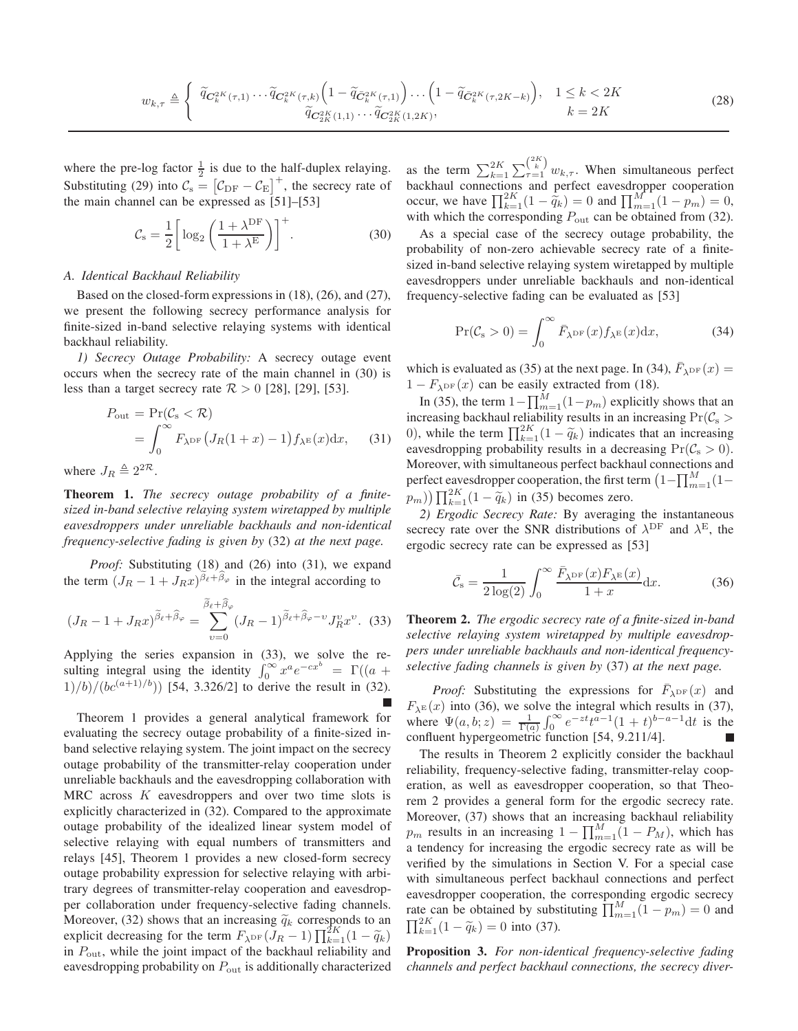$$
w_{k,\tau} \triangleq \begin{cases} \widetilde{q}_{\mathbf{C}_{k}^{2K}(\tau,1)} \cdots \widetilde{q}_{\mathbf{C}_{k}^{2K}(\tau,k)} \left(1 - \widetilde{q}_{\mathbf{C}_{k}^{2K}(\tau,1)}\right) \cdots \left(1 - \widetilde{q}_{\mathbf{C}_{k}^{2K}(\tau,2K-k)}\right), & 1 \leq k < 2K\\ \widetilde{q}_{\mathbf{C}_{2K}^{2K}(1,1)} \cdots \widetilde{q}_{\mathbf{C}_{2K}^{2K}(1,2K)}, & k = 2K \end{cases} \tag{28}
$$

where the pre-log factor  $\frac{1}{2}$  is due to the half-duplex relaying. Substituting (29) into  $\mathcal{C}_s = [C_{\rm DF} - C_{\rm E}]^+$ , the secrecy rate of the main channel can be expressed as [51]–[53]

$$
\mathcal{C}_{\rm s} = \frac{1}{2} \left[ \log_2 \left( \frac{1 + \lambda^{\rm DF}}{1 + \lambda^{\rm E}} \right) \right]^+.
$$
 (30)

# *A. Identical Backhaul Reliability*

Based on the closed-form expressions in (18), (26), and (27), we present the following secrecy performance analysis for finite-sized in-band selective relaying systems with identical backhaul reliability.

*1) Secrecy Outage Probability:* A secrecy outage event occurs when the secrecy rate of the main channel in (30) is less than a target secrecy rate  $\mathcal{R} > 0$  [28], [29], [53].

$$
P_{\text{out}} = \Pr(\mathcal{C}_{\text{s}} < \mathcal{R})
$$
\n
$$
= \int_0^\infty F_{\lambda^{\text{DF}}} \left( J_R(1+x) - 1 \right) f_{\lambda^{\text{E}}}(x) \, \mathrm{d}x, \tag{31}
$$

where  $J_R \triangleq 2^{2\mathcal{R}}$ .

**Theorem 1.** *The secrecy outage probability of a finitesized in-band selective relaying system wiretapped by multiple eavesdroppers under unreliable backhauls and non-identical frequency-selective fading is given by* (32) *at the next page.*

*Proof:* Substituting (18) and (26) into (31), we expand the term  $(J_R - 1 + J_R x)^{\beta_{\ell} + \beta_{\varphi}}$  in the integral according to

$$
(J_R - 1 + J_R x)^{\widetilde{\beta}_{\ell} + \widehat{\beta}_{\varphi}} = \sum_{\nu=0}^{\widetilde{\beta}_{\ell} + \widehat{\beta}_{\varphi}} (J_R - 1)^{\widetilde{\beta}_{\ell} + \widehat{\beta}_{\varphi} - \nu} J_R^{\nu} x^{\nu}.
$$
 (33)

Applying the series expansion in (33), we solve the resulting integral using the identity  $\int_0^\infty x^a e^{-cx^b} = \Gamma((a +$  $1)/b)/(bc^{(a+1)/b})$  [54, 3.326/2] to derive the result in (32).

Theorem 1 provides a general analytical framework for evaluating the secrecy outage probability of a finite-sized inband selective relaying system. The joint impact on the secrecy outage probability of the transmitter-relay cooperation under unreliable backhauls and the eavesdropping collaboration with MRC across  $K$  eavesdroppers and over two time slots is explicitly characterized in (32). Compared to the approximate outage probability of the idealized linear system model of selective relaying with equal numbers of transmitters and relays [45], Theorem 1 provides a new closed-form secrecy outage probability expression for selective relaying with arbitrary degrees of transmitter-relay cooperation and eavesdropper collaboration under frequency-selective fading channels. Moreover, (32) shows that an increasing  $\widetilde{q}_k$  corresponds to an explicit decreasing for the term  $F_{\lambda^{\text{DF}}}(J_R - 1) \prod_{k=1}^{2K} (1 - \widetilde{q}_k)$ in  $P_{\text{out}}$ , while the joint impact of the backhaul reliability and eavesdropping probability on  $P_{\text{out}}$  is additionally characterized as the term  $\sum_{k=1}^{2K} \sum_{\tau=1}^{2K} w_{k,\tau}$ . When simultaneous perfect backhaul connections and perfect eavesdropper cooperation occur, we have  $\prod_{k=1}^{2K} (1 - \tilde{q}_k) = 0$  and  $\prod_{k=1}^{M-1} (1 - p_m) = 0$ , with which the corresponding  $P_{\text{out}}$  can be obtained from (32).

As a special case of the secrecy outage probability, the probability of non-zero achievable secrecy rate of a finitesized in-band selective relaying system wiretapped by multiple eavesdroppers under unreliable backhauls and non-identical frequency-selective fading can be evaluated as [53]

$$
\Pr(\mathcal{C}_{\mathrm{s}} > 0) = \int_0^\infty \bar{F}_{\lambda^{\mathrm{DF}}}(x) f_{\lambda^{\mathrm{E}}}(x) \mathrm{d}x,\tag{34}
$$

which is evaluated as (35) at the next page. In (34),  $\bar{F}_{\lambda^{\rm DF}}(x) =$  $1 - F_{\lambda^{\rm DF}}(x)$  can be easily extracted from (18).

In (35), the term  $1 - \prod_{m=1}^{M} (1 - p_m)$  explicitly shows that an increasing backhaul reliability results in an increasing  $Pr(\mathcal{C}_s >$ 0), while the term  $\prod_{k=1}^{2K} (1 - \tilde{q}_k)$  indicates that an increasing<br>correspondence and hill in a property in a decreasing  $D_2(\mathcal{O}_n) \geq 0$ . eavesdropping probability results in a decreasing  $Pr(\mathcal{C}_s > 0)$ . Moreover, with simultaneous perfect backhaul connections and perfect eavesdropper cooperation, the first term  $(1-\prod_{m=1}^{M}(1-\prod_{m=1}^{M}(1-\prod_{m=1}^{M}(1-\prod_{m=1}^{M}(1-\prod_{m=1}^{M}(1-\prod_{m=1}^{M}(1-\prod_{m=1}^{M}(1-\prod_{m=1}^{M}(1-\prod_{m=1}^{M}(1-\prod_{m=1}^{M}(1-\prod_{m=1}^{M}(1-\prod_{m=1}^{M}(1-\prod_{m=1}^{M}(1-\prod_{m=1}^{M}(1-\prod_{m=1}^{M}(1-\prod_{m$  $(p_m)$ )  $\prod_{k=1}^{2K} (1 - \tilde{q}_k)$  in (35) becomes zero.

*2) Ergodic Secrecy Rate:* By averaging the instantaneous secrecy rate over the SNR distributions of  $\lambda^{\text{DF}}$  and  $\lambda^{\text{E}}$ , the ergodic secrecy rate can be expressed as [53]

$$
\bar{\mathcal{C}}_{\rm s} = \frac{1}{2\log(2)} \int_0^\infty \frac{\bar{F}_{\lambda^{\rm DF}}(x) F_{\lambda^{\rm E}}(x)}{1+x} \mathrm{d}x. \tag{36}
$$

**Theorem 2.** *The ergodic secrecy rate of a finite-sized in-band selective relaying system wiretapped by multiple eavesdroppers under unreliable backhauls and non-identical frequencyselective fading channels is given by* (37) *at the next page.*

*Proof:* Substituting the expressions for  $\bar{F}_{\lambda^{\text{DF}}}(x)$  and  $F_{\lambda}E(x)$  into (36), we solve the integral which results in (37), where  $\Psi(a, b; z) = \frac{1}{\Gamma(a)} \int_0^\infty e^{-zt} t^{a-1} (1+t)^{b-a-1} dt$  is the confluent hypergeometric function [54, 9.211/4].

The results in Theorem 2 explicitly consider the backhaul reliability, frequency-selective fading, transmitter-relay cooperation, as well as eavesdropper cooperation, so that Theorem 2 provides a general form for the ergodic secrecy rate. Moreover, (37) shows that an increasing backhaul reliability  $p_m$  results in an increasing  $1 - \prod_{m=1}^{M} (1 - P_M)$ , which has a tendency for increasing the ergodic secrecy rate as will be verified by the simulations in Section V. For a special case with simultaneous perfect backhaul connections and perfect eavesdropper cooperation, the corresponding ergodic secrecy rate can be obtained by substituting  $\prod_{m=1}^{M} (1 - p_m) = 0$  and  $\prod_{k=1}^{2K} (1 - \tilde{q}_k) = 0$  into (37).

**Proposition 3.** *For non-identical frequency-selective fading channels and perfect backhaul connections, the secrecy diver-*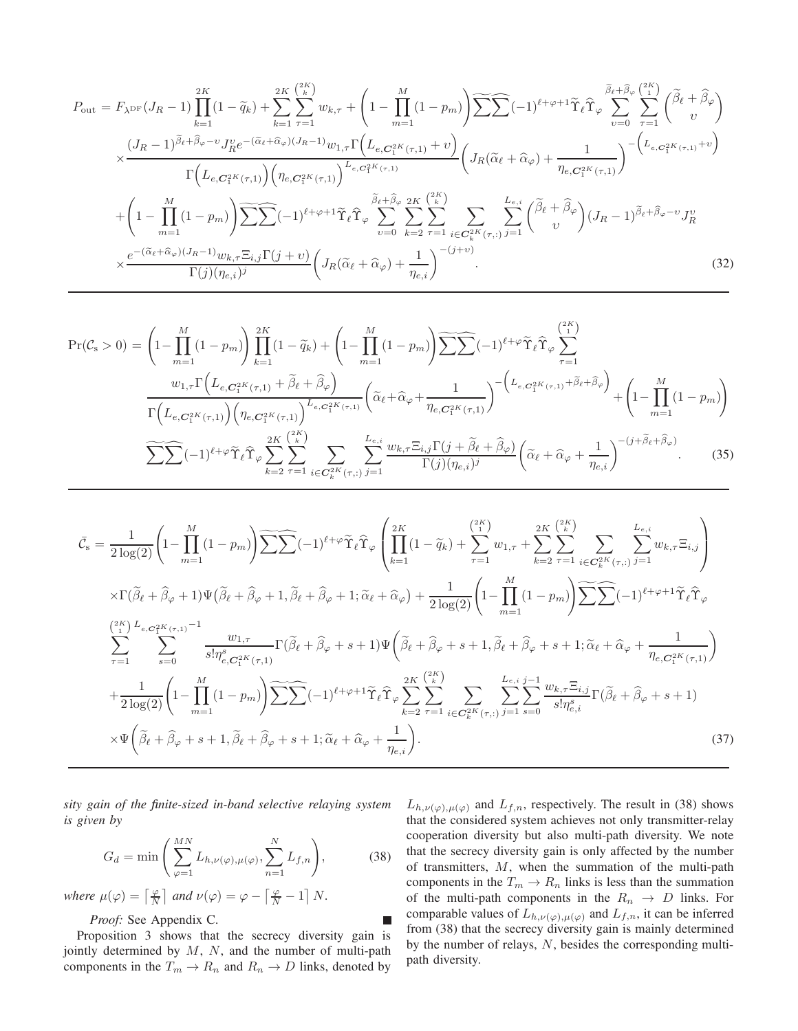$$
P_{\text{out}} = F_{\lambda^{\text{DF}}}(J_R - 1) \prod_{k=1}^{2K} (1 - \widetilde{q}_k) + \sum_{k=1}^{2K} \sum_{\tau=1}^{(\frac{2K}{k})} w_{k,\tau} + \left(1 - \prod_{m=1}^{M} (1 - p_m)\right) \widetilde{\sum} \widehat{\sum} (-1)^{\ell + \varphi + 1} \widetilde{\Upsilon}_{\ell} \widehat{\Upsilon}_{\varphi} \sum_{\upsilon=0}^{\widetilde{\beta}_{\ell} + \widehat{\beta}_{\varphi}} \sum_{\tau=1}^{(\frac{2K}{k})} \left(\frac{\widetilde{\beta}_{\ell} + \widehat{\beta}_{\varphi}}{v}\right)
$$

$$
\times \frac{(J_R - 1)^{\widetilde{\beta}_{\ell} + \widehat{\beta}_{\varphi} - \upsilon} J_R^{\upsilon} e^{-(\widetilde{\alpha}_{\ell} + \widehat{\alpha}_{\varphi})(J_R - 1)} w_{1,\tau} \Gamma\left(L_{e, \mathcal{C}_1^{2K}(\tau, 1)} + \upsilon\right)}{\Gamma\left(L_{e, \mathcal{C}_1^{2K}(\tau, 1)}\right) \left(\eta_{e, \mathcal{C}_1^{2K}(\tau, 1)}\right)^{L_{e, \mathcal{C}_1^{2K}(\tau, 1)}}} \left(J_R(\widetilde{\alpha}_{\ell} + \widehat{\alpha}_{\varphi}) + \frac{1}{\eta_{e, \mathcal{C}_1^{2K}(\tau, 1)}}\right)^{-\left(L_{e, \mathcal{C}_1^{2K}(\tau, 1)} + \upsilon\right)}{\Gamma\left(L_{e, \mathcal{C}_1^{2K}(\tau, 1)}\right) \left(\sum_{\nu=0}^{\widetilde{\beta}_{\ell} + \widehat{\beta}_{\varphi}} \sum_{\upsilon=0}^{\widetilde{\beta}_{\ell} + \widehat{\beta}_{\varphi}} \sum_{\nu=0}^{\nu} \sum_{k=2}^{(\frac{2K}{k})} \sum_{\tau=1}^{\widetilde{\beta}_{\ell} + \widehat{\beta}_{\varphi}} \sum_{\upsilon=1}^{\widetilde{\beta}_{\ell} + \widehat{\beta}_{\varphi}} \sum_{\upsilon=1}^{\widetilde{\beta}_{\ell} + \widehat{\beta}_{\varphi}} \sum_{\upsilon=1}^{\widetilde{\beta}_{\ell} + \widehat{\beta}_{\var
$$

$$
Pr(C_{s} > 0) = \left(1 - \prod_{m=1}^{M} (1 - p_{m})\right) \prod_{k=1}^{2K} (1 - \widetilde{q}_{k}) + \left(1 - \prod_{m=1}^{M} (1 - p_{m})\right) \widetilde{\sum} \widehat{\sum} (-1)^{\ell + \varphi} \widetilde{\Upsilon}_{\ell} \widehat{\Upsilon}_{\varphi} \sum_{\tau=1}^{2K} \n\frac{w_{1,\tau} \Gamma\left(L_{e,C_{1}^{2K}(\tau,1)} + \widetilde{\beta}_{\ell} + \widehat{\beta}_{\varphi}\right)}{\Gamma\left(L_{e,C_{1}^{2K}(\tau,1)}\right) \left(\eta_{e,C_{1}^{2K}(\tau,1)}\right)^{L_{e,C_{1}^{2K}(\tau,1)}} \left(\widetilde{\alpha}_{\ell} + \widehat{\alpha}_{\varphi} + \frac{1}{\eta_{e,C_{1}^{2K}(\tau,1)}}\right)^{-\left(L_{e,C_{1}^{2K}(\tau,1)} + \widetilde{\beta}_{\ell} + \widehat{\beta}_{\varphi}\right)} + \left(1 - \prod_{m=1}^{M} (1 - p_{m})\right)} \widetilde{\sum} \widehat{\sum} (-1)^{\ell + \varphi} \widetilde{\Upsilon}_{\ell} \widehat{\Upsilon}_{\varphi} \sum_{k=2}^{2K} \sum_{\tau=1}^{2K} \sum_{i \in C_{k}^{2K}(\tau,1)} \sum_{j=1}^{L_{e,i}} \frac{w_{k,\tau} \Xi_{i,j} \Gamma(j + \widetilde{\beta}_{\ell} + \widehat{\beta}_{\varphi})}{\Gamma(j)(\eta_{e,i})^{j}} \left(\widetilde{\alpha}_{\ell} + \widehat{\alpha}_{\varphi} + \frac{1}{\eta_{e,i}}\right)^{-(j + \widetilde{\beta}_{\ell} + \widehat{\beta}_{\varphi})}.
$$
\n(35)

$$
\bar{\mathcal{C}}_{s} = \frac{1}{2\log(2)} \left( 1 - \prod_{m=1}^{M} (1 - p_{m}) \right) \widetilde{\sum \sum} (-1)^{\ell + \varphi} \tilde{\Upsilon}_{\ell} \hat{\Upsilon}_{\varphi} \left( \prod_{k=1}^{2K} (1 - \tilde{q}_{k}) + \sum_{\tau=1}^{2K} \sum_{u_{1,\tau}}^{(2K)} \sum_{k=2}^{K} \sum_{\tau=1}^{2K} \sum_{i \in C_{k}^{2K}(\tau, z)}^{K} \sum_{j=1}^{L_{e,i}} w_{k,\tau} \Xi_{i,j} \right) \times \Gamma(\tilde{\beta}_{\ell} + \hat{\beta}_{\varphi} + 1) \Psi(\tilde{\beta}_{\ell} + \hat{\beta}_{\varphi} + 1, \tilde{\beta}_{\ell} + \hat{\beta}_{\varphi} + 1; \tilde{\alpha}_{\ell} + \hat{\alpha}_{\varphi}) + \frac{1}{2\log(2)} \left( 1 - \prod_{m=1}^{M} (1 - p_{m}) \right) \widetilde{\sum \sum} (-1)^{\ell + \varphi + 1} \tilde{\Upsilon}_{\ell} \hat{\Upsilon}_{\varphi} \left( \frac{2K}{\Gamma} \sum_{\tau=1}^{2K} \sum_{s=0}^{2K} \sum_{j=0}^{K} \sum_{j=0}^{K} \sum_{j=0}^{K} \sum_{j=0}^{K} \sum_{j=0}^{K} \sum_{j=0}^{K} \sum_{j=0}^{K} \sum_{j=0}^{K} \sum_{j=0}^{K} \sum_{j=0}^{K} \sum_{j=0}^{K} \sum_{j=0}^{K} \sum_{j=0}^{K} \sum_{j=0}^{K} \sum_{j=0}^{K} \sum_{j=0}^{K} \sum_{j=0}^{K} \sum_{j=0}^{K} \sum_{j=0}^{K} \sum_{j=0}^{K} \sum_{j=0}^{K} \sum_{j=0}^{K} \sum_{j=0}^{K} \sum_{j=0}^{K} \sum_{j=0}^{K} \sum_{j=0}^{K} \sum_{j=0}^{K} \sum_{j=0}^{K} \sum_{j=0}^{K} \sum_{j=0}^{K} \sum_{j=0}^{K} \sum_{j=0}^{K} \sum_{j=0}^{K} \sum_{j=0}
$$

*sity gain of the finite-sized in-band selective relaying system is given by*

$$
G_d = \min\left(\sum_{\varphi=1}^{MN} L_{h,\nu(\varphi),\mu(\varphi)}, \sum_{n=1}^{N} L_{f,n}\right),\tag{38}
$$

*where*  $\mu(\varphi) = \left\lceil \frac{\varphi}{N} \right\rceil$  *and*  $\nu(\varphi) = \varphi - \left\lceil \frac{\varphi}{N} - 1 \right\rceil N$ .

*Proof:* See Appendix C.

Proposition 3 shows that the secrecy diversity gain is jointly determined by  $M$ ,  $N$ , and the number of multi-path components in the  $T_m \to R_n$  and  $R_n \to D$  links, denoted by  $L_{h,\nu(\varphi),\mu(\varphi)}$  and  $L_{f,n}$ , respectively. The result in (38) shows that the considered system achieves not only transmitter-relay cooperation diversity but also multi-path diversity. We note that the secrecy diversity gain is only affected by the number of transmitters, M, when the summation of the multi-path components in the  $T_m \to R_n$  links is less than the summation of the multi-path components in the  $R_n \rightarrow D$  links. For comparable values of  $L_{h,\nu(\varphi),\mu(\varphi)}$  and  $L_{f,n}$ , it can be inferred from (38) that the secrecy diversity gain is mainly determined by the number of relays, N, besides the corresponding multipath diversity.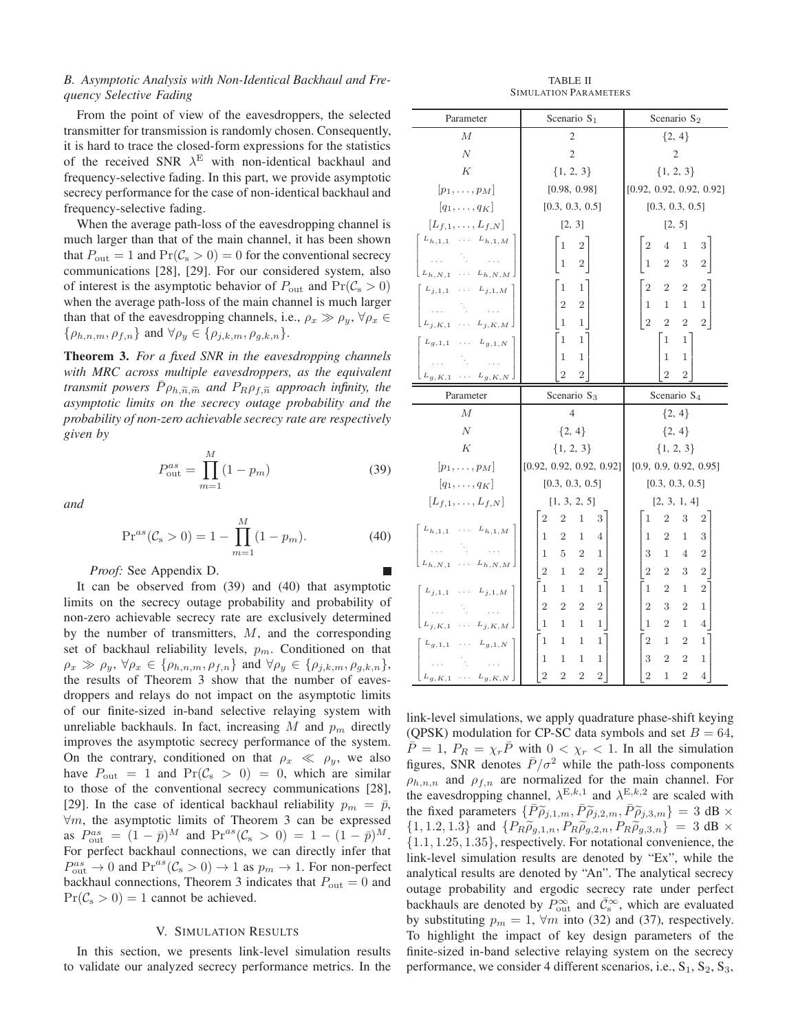# *B. Asymptotic Analysis with Non-Identical Backhaul and Frequency Selective Fading*

From the point of view of the eavesdroppers, the selected transmitter for transmission is randomly chosen. Consequently, it is hard to trace the closed-form expressions for the statistics of the received SNR  $\lambda^E$  with non-identical backhaul and frequency-selective fading. In this part, we provide asymptotic secrecy performance for the case of non-identical backhaul and frequency-selective fading.

When the average path-loss of the eavesdropping channel is much larger than that of the main channel, it has been shown that  $P_{\text{out}} = 1$  and  $Pr(\mathcal{C}_{\text{s}} > 0) = 0$  for the conventional secrecy communications [28], [29]. For our considered system, also of interest is the asymptotic behavior of  $P_{\text{out}}$  and  $Pr(\mathcal{C}_{s} > 0)$ when the average path-loss of the main channel is much larger than that of the eavesdropping channels, i.e.,  $\rho_x \gg \rho_y$ ,  $\forall \rho_x \in$  $\{\rho_{h,n,m}, \rho_{f,n}\}\$  and  $\forall \rho_y \in \{\rho_{j,k,m}, \rho_{g,k,n}\}.$ 

**Theorem 3.** *For a fixed SNR in the eavesdropping channels with MRC across multiple eavesdroppers, as the equivalent transmit powers*  $\bar{P}_{\beta h, \tilde{n}, \tilde{m}}$  and  $P_R \rho_{\tilde{f}, \tilde{n}}$  approach infinity, the *asymptotic limits on the secrecy outage probability and the probability of non-zero achievable secrecy rate are respectively given by*

$$
P_{\text{out}}^{as} = \prod_{m=1}^{M} (1 - p_m)
$$
 (39)

*and*

$$
Pr^{as}(\mathcal{C}_s > 0) = 1 - \prod_{m=1}^{M} (1 - p_m).
$$
 (40)

*Proof:* See Appendix D.

It can be observed from (39) and (40) that asymptotic limits on the secrecy outage probability and probability of non-zero achievable secrecy rate are exclusively determined by the number of transmitters,  $M$ , and the corresponding set of backhaul reliability levels,  $p_m$ . Conditioned on that  $\rho_x \gg \rho_y$ ,  $\forall \rho_x \in {\rho_{h,n,m}, \rho_{f,n}}$  and  $\forall \rho_y \in {\rho_{j,k,m}, \rho_{g,k,n}}$ , the results of Theorem 3 show that the number of eavesdroppers and relays do not impact on the asymptotic limits of our finite-sized in-band selective relaying system with unreliable backhauls. In fact, increasing M and  $p_m$  directly improves the asymptotic secrecy performance of the system. On the contrary, conditioned on that  $\rho_x \ll \rho_y$ , we also have  $P_{\text{out}} = 1$  and  $\Pr(\mathcal{C}_{\text{s}} > 0) = 0$ , which are similar to those of the conventional secrecy communications [28], [29]. In the case of identical backhaul reliability  $p_m = \bar{p}$ , ∀m, the asymptotic limits of Theorem 3 can be expressed as  $P_{\text{out}}^{as} = (1 - \bar{p})^M$  and  $\Pr^{as}(\mathcal{C}_s > 0) = 1 - (1 - \bar{p})^M$ . For perfect backhaul connections, we can directly infer that  $P_{\text{out}}^{as} \to 0$  and  $\Pr^{as}(\mathcal{C}_s > 0) \to 1$  as  $p_m \to 1$ . For non-perfect backhaul connections, Theorem 3 indicates that  $P_{\text{out}} = 0$  and  $Pr(\mathcal{C}_s > 0) = 1$  cannot be achieved.

# V. SIMULATION RESULTS

In this section, we presents link-level simulation results to validate our analyzed secrecy performance metrics. In the

TABLE II SIMULATION PARAMETERS

| Parameter                                          | Scenario $S_1$                                                       | Scenario S <sub>2</sub>                                          |
|----------------------------------------------------|----------------------------------------------------------------------|------------------------------------------------------------------|
| $\boldsymbol{M}$                                   | $\mathfrak{2}$                                                       | ${2, 4}$                                                         |
| N                                                  | $\overline{c}$                                                       | $\overline{c}$                                                   |
| К                                                  | ${1, 2, 3}$                                                          | ${1, 2, 3}$                                                      |
| $[p_1,\ldots,p_M]$                                 | [0.98, 0.98]                                                         | [0.92, 0.92, 0.92, 0.92]                                         |
| $[q_1,\ldots,q_K]$                                 | [0.3, 0.3, 0.5]                                                      | [0.3, 0.3, 0.5]                                                  |
| $[L_{f,1}, \ldots, L_{f,N}]$                       | [2, 3]                                                               | [2, 5]                                                           |
| $L_{h,1,1}$ $L_{h,1,M}$                            | $\overline{2}$<br>$\mathbf{1}$                                       | $\overline{2}$<br>$\overline{4}$<br>$\mathbf{1}$<br>3            |
| in a                                               | $\sqrt{2}$<br>$\mathbf{1}$                                           | $\overline{2}$<br>1<br>$\overline{2}$<br>$\,3$                   |
| $L_{h,N,M}$<br>$\sim 100$<br>$L_{h,N,1}$           |                                                                      |                                                                  |
| $\cdots$ $L_{j,1,M}$<br>$L_{j,1,1}$                | 1<br>1                                                               | $\overline{2}$<br>$\overline{2}$<br>$\overline{2}$<br>2          |
| A.<br>$\sim$                                       | $\overline{2}$<br>$\overline{2}$                                     | $\mathbf{1}$<br>1<br>$\mathbf 1$<br>$\mathbf 1$                  |
| $\cdots$ $L_{j,K,M}$<br>$L_{j,K,1}$                | $\mathbf 1$<br>$\mathbf{1}$                                          | $\sqrt{2}$<br>$\overline{2}$<br>$\overline{2}$<br>$\overline{2}$ |
| $L_{g,1,1} \cdots L_{g,1,N}$                       | $\mathbf{1}$<br>$\mathbf{1}$                                         | $\mathbf{1}$<br>$\mathbf{1}$                                     |
|                                                    | 1<br>1                                                               | 1<br>$\mathbf 1$                                                 |
| $L_{g,K,N}$<br>$L_{g,K,1}$                         | $\overline{2}$<br>$\overline{2}$                                     | $\overline{2}$<br>$\overline{2}$                                 |
| Parameter                                          | Scenario S <sub>3</sub>                                              | Scenario S <sub>4</sub>                                          |
| $\boldsymbol{M}$                                   | $\overline{4}$                                                       | ${2, 4}$                                                         |
| $\boldsymbol{N}$                                   | ${2, 4}$                                                             | ${2, 4}$                                                         |
| К                                                  | ${1, 2, 3}$                                                          | ${1, 2, 3}$                                                      |
| $[p_1,\ldots,p_M]$                                 | [0.92, 0.92, 0.92, 0.92]                                             | [0.9, 0.9, 0.92, 0.95]                                           |
| $[q_1,\ldots,q_K]$                                 | [0.3, 0.3, 0.5]                                                      | [0.3, 0.3, 0.5]                                                  |
| $[L_{f,1},\ldots,L_{f,N}]$                         | [1, 3, 2, 5]                                                         | [2, 3, 1, 4]                                                     |
|                                                    | $\overline{2}$<br>$\overline{2}$<br>1<br>3                           | $\overline{2}$<br>$\mathbf{1}$<br>3<br>$\overline{2}$            |
| $L_{h,1,1} \cdots L_{h,1,M}$                       | $\mathbf{1}$<br>$\overline{2}$<br>1<br>4                             | $\overline{2}$<br>1<br>3<br>1                                    |
|                                                    | 5<br>$\overline{2}$<br>1<br>1                                        | 3<br>1<br>$\overline{2}$<br>4                                    |
| $L_{h,N,M}$<br>$L_{h,N,1}$<br>$\sim 100$           | $\overline{2}$<br>$\overline{2}$<br>$\overline{2}$<br>1              | $\,2$<br>$\overline{2}$<br>$\overline{2}$<br>3                   |
| $\cdots$ $L_{j,1,M}$<br>$\lceil L_{j,1,1} \rceil$  | $\mathbf{1}$<br>1<br>1<br>1                                          | $\mathbf{1}$<br>$\overline{2}$<br>1<br>2                         |
|                                                    | $\overline{2}$<br>$\overline{2}$<br>$\overline{2}$<br>$\overline{2}$ | $\overline{2}$<br>3<br>$\overline{2}$<br>$\mathbf 1$             |
| $L_{j,K,M}$<br>$L_{j,K,1}$<br>$\sim 100$           | $\,1\,$<br>$\mathbf{1}$<br>1<br>1                                    | $\overline{2}$<br>$\overline{4}$<br>$\mathbf 1$<br>$\mathbf 1$   |
| $L_{g,1,N}$<br>$L_{g,1,1}$<br>$\sim$ $\sim$ $\sim$ | $\mathbf{1}$<br>1<br>1<br>1                                          | $\overline{2}$<br>1<br>$\overline{2}$<br>1                       |
|                                                    | $\mathbf 1$<br>1<br>1<br>1                                           | $\overline{2}$<br>$\overline{2}$<br>3<br>$\mathbf 1$             |
| $L_{g,K,1} \cdots L_{g,K,N}$                       | $\overline{2}$<br>2<br>2<br>$\overline{2}$                           | $\overline{2}$<br>1<br>2<br>4                                    |

link-level simulations, we apply quadrature phase-shift keying (QPSK) modulation for CP-SC data symbols and set  $B = 64$ ,  $\overline{P} = 1$ ,  $P_R = \chi_r \overline{P}$  with  $0 < \chi_r < 1$ . In all the simulation figures, SNR denotes  $\bar{P}/\sigma^2$  while the path-loss components  $\rho_{h,n,n}$  and  $\rho_{f,n}$  are normalized for the main channel. For the eavesdropping channel,  $\lambda^{E,k,1}$  and  $\lambda^{E,k,2}$  are scaled with the fixed parameters  $\{\bar{P}\widetilde{\rho}_{j,1,m}, \bar{P}\widetilde{\rho}_{j,2,m}, \bar{P}\widetilde{\rho}_{j,3,m}\} = 3$  dB  $\times$  $\{1, 1.2, 1.3\}$  and  $\{P_R\widetilde{\rho}_{q,1,n}, P_R\widetilde{\rho}_{q,2,n}, P_R\widetilde{\rho}_{q,3,n}\} = 3$  dB  $\times$  $\{1.1, 1.25, 1.35\}$ , respectively. For notational convenience, the link-level simulation results are denoted by "Ex", while the analytical results are denoted by "An". The analytical secrecy outage probability and ergodic secrecy rate under perfect backhauls are denoted by  $P_{\text{out}}^{\infty}$  and  $\bar{\mathcal{C}}_{s}^{\infty}$ , which are evaluated by substituting  $p_m = 1$ ,  $\forall m$  into (32) and (37), respectively. To highlight the impact of key design parameters of the finite-sized in-band selective relaying system on the secrecy performance, we consider 4 different scenarios, i.e.,  $S_1$ ,  $S_2$ ,  $S_3$ ,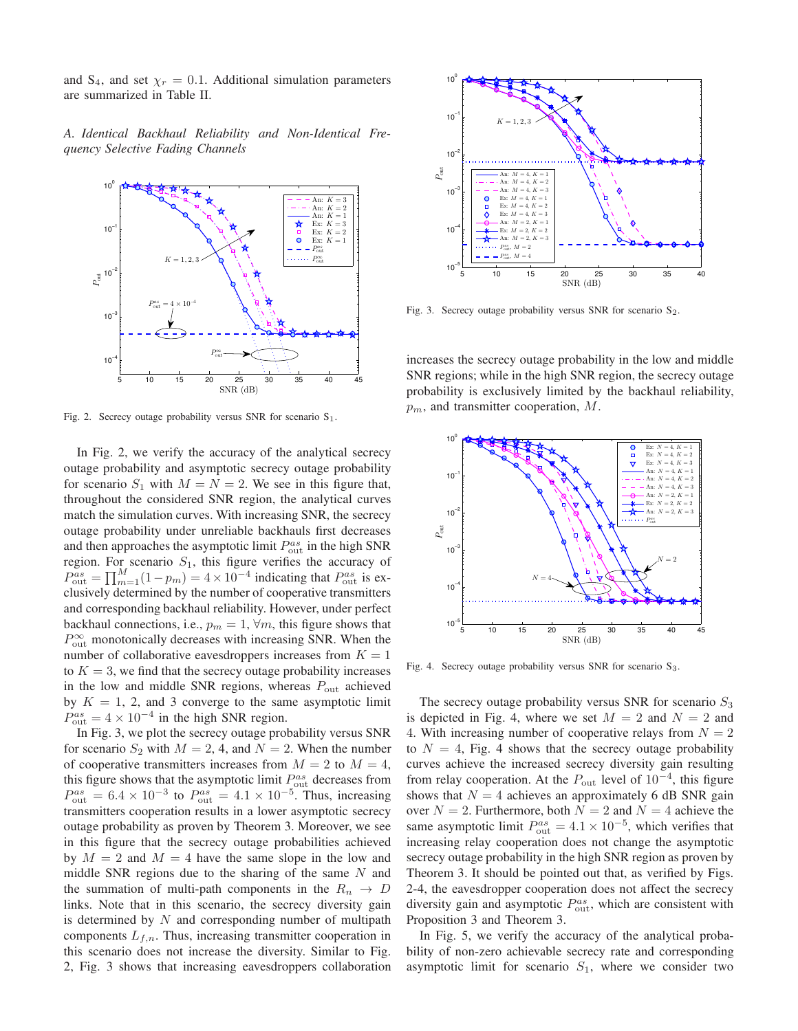and S<sub>4</sub>, and set  $\chi_r = 0.1$ . Additional simulation parameters are summarized in Table II.

*A. Identical Backhaul Reliability and Non-Identical Frequency Selective Fading Channels*



Fig. 2. Secrecy outage probability versus SNR for scenario  $S_1$ .

In Fig. 2, we verify the accuracy of the analytical secrecy outage probability and asymptotic secrecy outage probability for scenario  $S_1$  with  $M = N = 2$ . We see in this figure that, throughout the considered SNR region, the analytical curves match the simulation curves. With increasing SNR, the secrecy outage probability under unreliable backhauls first decreases and then approaches the asymptotic limit  $P_{\text{out}}^{as}$  in the high SNR region. For scenario  $S_1$ , this figure verifies the accuracy of  $P_{\text{out}}^{as} = \prod_{m=1}^{M} (1 - p_m) = 4 \times 10^{-4}$  indicating that  $P_{\text{out}}^{as}$  is exclusively determined by the number of cooperative transmitters and corresponding backhaul reliability. However, under perfect backhaul connections, i.e.,  $p_m = 1$ ,  $\forall m$ , this figure shows that  $P_{\text{out}}^{\infty}$  monotonically decreases with increasing SNR. When the number of collaborative eavesdroppers increases from  $K = 1$ to  $K = 3$ , we find that the secrecy outage probability increases in the low and middle SNR regions, whereas  $P_{\text{out}}$  achieved by  $K = 1$ , 2, and 3 converge to the same asymptotic limit  $P_{\text{out}}^{as} = 4 \times 10^{-4}$  in the high SNR region.

In Fig. 3, we plot the secrecy outage probability versus SNR for scenario  $S_2$  with  $M = 2$ , 4, and  $N = 2$ . When the number of cooperative transmitters increases from  $M = 2$  to  $M = 4$ , this figure shows that the asymptotic limit  $P_{\text{out}}^{as}$  decreases from  $P_{\text{out}}^{as} = 6.4 \times 10^{-3}$  to  $P_{\text{out}}^{as} = 4.1 \times 10^{-5}$ . Thus, increasing transmitters cooperation results in a lower asymptotic secrecy outage probability as proven by Theorem 3. Moreover, we see in this figure that the secrecy outage probabilities achieved by  $M = 2$  and  $M = 4$  have the same slope in the low and middle SNR regions due to the sharing of the same  $N$  and the summation of multi-path components in the  $R_n \to D$ links. Note that in this scenario, the secrecy diversity gain is determined by  $N$  and corresponding number of multipath components  $L_{f,n}$ . Thus, increasing transmitter cooperation in this scenario does not increase the diversity. Similar to Fig. 2, Fig. 3 shows that increasing eavesdroppers collaboration



Fig. 3. Secrecy outage probability versus SNR for scenario  $S_2$ .

increases the secrecy outage probability in the low and middle SNR regions; while in the high SNR region, the secrecy outage probability is exclusively limited by the backhaul reliability,  $p_m$ , and transmitter cooperation, M.



Fig. 4. Secrecy outage probability versus SNR for scenario S<sub>3</sub>.

The secrecy outage probability versus SNR for scenario  $S_3$ is depicted in Fig. 4, where we set  $M = 2$  and  $N = 2$  and 4. With increasing number of cooperative relays from  $N = 2$ to  $N = 4$ , Fig. 4 shows that the secrecy outage probability curves achieve the increased secrecy diversity gain resulting from relay cooperation. At the  $P_{\text{out}}$  level of  $10^{-4}$ , this figure shows that  $N = 4$  achieves an approximately 6 dB SNR gain over  $N = 2$ . Furthermore, both  $N = 2$  and  $N = 4$  achieve the same asymptotic limit  $P_{\text{out}}^{as} = 4.1 \times 10^{-5}$ , which verifies that increasing relay cooperation does not change the asymptotic secrecy outage probability in the high SNR region as proven by Theorem 3. It should be pointed out that, as verified by Figs. 2-4, the eavesdropper cooperation does not affect the secrecy diversity gain and asymptotic  $P_{\text{out}}^{as}$ , which are consistent with Proposition 3 and Theorem 3.

In Fig. 5, we verify the accuracy of the analytical probability of non-zero achievable secrecy rate and corresponding asymptotic limit for scenario  $S_1$ , where we consider two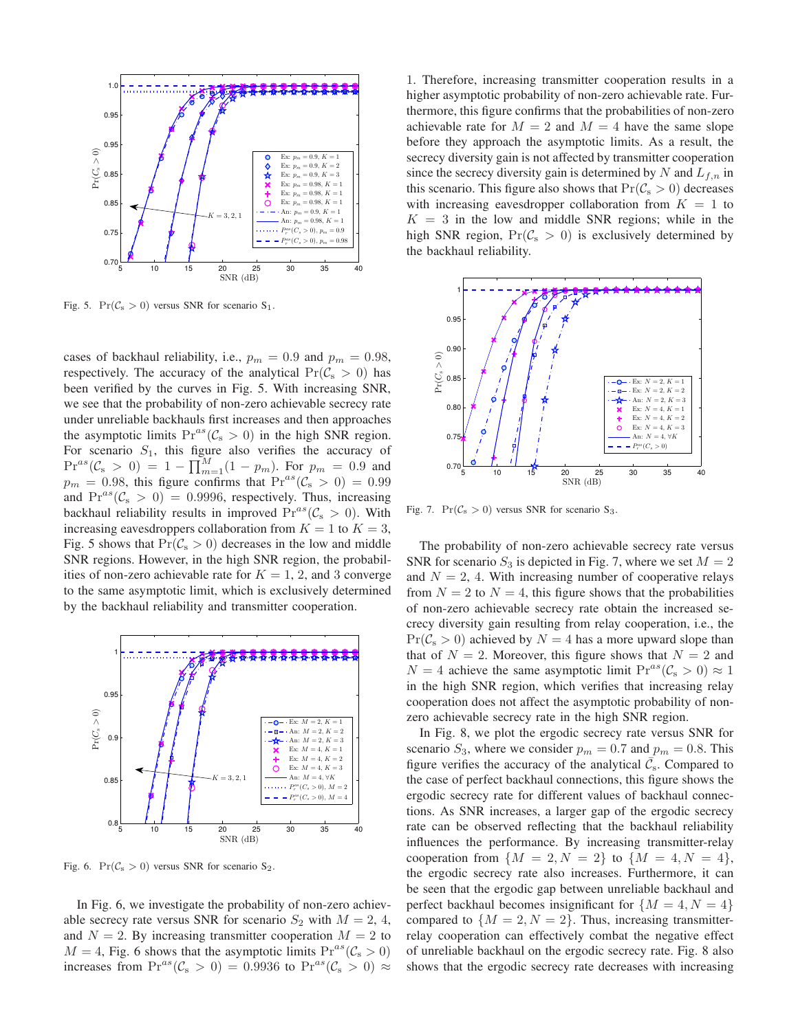

Fig. 5.  $Pr(\mathcal{C}_s > 0)$  versus SNR for scenario S<sub>1</sub>.

cases of backhaul reliability, i.e.,  $p_m = 0.9$  and  $p_m = 0.98$ , respectively. The accuracy of the analytical  $Pr(\mathcal{C}_s > 0)$  has been verified by the curves in Fig. 5. With increasing SNR, we see that the probability of non-zero achievable secrecy rate under unreliable backhauls first increases and then approaches the asymptotic limits  $\Pr^{as}(\mathcal{C}_s > 0)$  in the high SNR region. For scenario  $S_1$ , this figure also verifies the accuracy of  $Pr^{as}(\mathcal{C}_s > 0) = 1 - \prod_{m=1}^{M} (1 - p_m)$ . For  $p_m = 0.9$  and  $p_m = 0.98$ , this figure confirms that  $Pr^{as}(\mathcal{C}_s > 0) = 0.99$ and  $Pr^{as}(\mathcal{C}_s > 0) = 0.9996$ , respectively. Thus, increasing backhaul reliability results in improved  $Pr^{as}(\mathcal{C}_s > 0)$ . With increasing eavesdroppers collaboration from  $K = 1$  to  $K = 3$ , Fig. 5 shows that  $Pr(\mathcal{C}_s > 0)$  decreases in the low and middle SNR regions. However, in the high SNR region, the probabilities of non-zero achievable rate for  $K = 1, 2$ , and 3 converge to the same asymptotic limit, which is exclusively determined by the backhaul reliability and transmitter cooperation.



Fig. 6.  $Pr(\mathcal{C}_s > 0)$  versus SNR for scenario S<sub>2</sub>.

In Fig. 6, we investigate the probability of non-zero achievable secrecy rate versus SNR for scenario  $S_2$  with  $M = 2, 4,$ and  $N = 2$ . By increasing transmitter cooperation  $M = 2$  to  $M = 4$ , Fig. 6 shows that the asymptotic limits  $\Pr^{as}(\mathcal{C}_s > 0)$ increases from  $Pr^{as}(\mathcal{C}_s > 0) = 0.9936$  to  $Pr^{as}(\mathcal{C}_s > 0) \approx$  1. Therefore, increasing transmitter cooperation results in a higher asymptotic probability of non-zero achievable rate. Furthermore, this figure confirms that the probabilities of non-zero achievable rate for  $M = 2$  and  $M = 4$  have the same slope before they approach the asymptotic limits. As a result, the secrecy diversity gain is not affected by transmitter cooperation since the secrecy diversity gain is determined by N and  $L_{f,n}$  in this scenario. This figure also shows that  $Pr(\mathcal{C}_s > 0)$  decreases with increasing eavesdropper collaboration from  $K = 1$  to  $K = 3$  in the low and middle SNR regions; while in the high SNR region,  $Pr(\mathcal{C}_s > 0)$  is exclusively determined by the backhaul reliability.



Fig. 7.  $Pr(\mathcal{C}_s > 0)$  versus SNR for scenario S<sub>3</sub>.

The probability of non-zero achievable secrecy rate versus SNR for scenario  $S_3$  is depicted in Fig. 7, where we set  $M = 2$ and  $N = 2$ , 4. With increasing number of cooperative relays from  $N = 2$  to  $N = 4$ , this figure shows that the probabilities of non-zero achievable secrecy rate obtain the increased secrecy diversity gain resulting from relay cooperation, i.e., the  $Pr(\mathcal{C}_s > 0)$  achieved by  $N = 4$  has a more upward slope than that of  $N = 2$ . Moreover, this figure shows that  $N = 2$  and  $N = 4$  achieve the same asymptotic limit  $\Pr^{as}(\mathcal{C}_s > 0) \approx 1$ in the high SNR region, which verifies that increasing relay cooperation does not affect the asymptotic probability of nonzero achievable secrecy rate in the high SNR region.

In Fig. 8, we plot the ergodic secrecy rate versus SNR for scenario  $S_3$ , where we consider  $p_m = 0.7$  and  $p_m = 0.8$ . This figure verifies the accuracy of the analytical  $\overline{C_s}$ . Compared to the case of perfect backhaul connections, this figure shows the ergodic secrecy rate for different values of backhaul connections. As SNR increases, a larger gap of the ergodic secrecy rate can be observed reflecting that the backhaul reliability influences the performance. By increasing transmitter-relay cooperation from  $\{M = 2, N = 2\}$  to  $\{M = 4, N = 4\},\$ the ergodic secrecy rate also increases. Furthermore, it can be seen that the ergodic gap between unreliable backhaul and perfect backhaul becomes insignificant for  $\{M = 4, N = 4\}$ compared to  $\{M = 2, N = 2\}$ . Thus, increasing transmitterrelay cooperation can effectively combat the negative effect of unreliable backhaul on the ergodic secrecy rate. Fig. 8 also shows that the ergodic secrecy rate decreases with increasing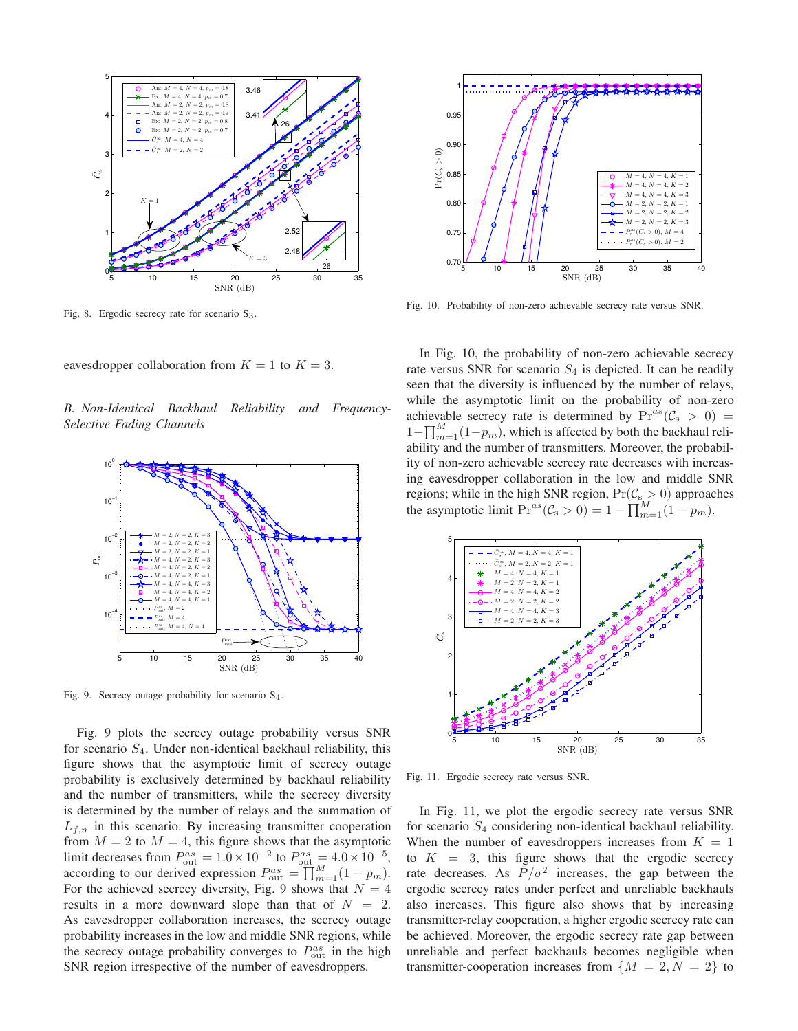

Fig. 8. Ergodic secrecy rate for scenario S<sub>3</sub>.

eavesdropper collaboration from  $K = 1$  to  $K = 3$ .

*B. Non-Identical Backhaul Reliability and Frequency-Selective Fading Channels*



Fig. 9. Secrecy outage probability for scenario S4.

Fig. 9 plots the secrecy outage probability versus SNR for scenario  $S_4$ . Under non-identical backhaul reliability, this figure shows that the asymptotic limit of secrecy outage probability is exclusively determined by backhaul reliability and the number of transmitters, while the secrecy diversity is determined by the number of relays and the summation of  $L_{f,n}$  in this scenario. By increasing transmitter cooperation from  $M = 2$  to  $M = 4$ , this figure shows that the asymptotic limit decreases from  $P_{\text{out}}^{as} = 1.0 \times 10^{-2}$  to  $P_{\text{out}}^{as} = 4.0 \times 10^{-5}$ , according to our derived expression  $P_{\text{out}}^{as} = \prod_{m=1}^{M} (1 - p_m)$ . For the achieved secrecy diversity, Fig. 9 shows that  $N = 4$ results in a more downward slope than that of  $N = 2$ . As eavesdropper collaboration increases, the secrecy outage probability increases in the low and middle SNR regions, while the secrecy outage probability converges to  $P_{\text{out}}^{as}$  in the high SNR region irrespective of the number of eavesdroppers.



Fig. 10. Probability of non-zero achievable secrecy rate versus SNR.

In Fig. 10, the probability of non-zero achievable secrecy rate versus SNR for scenario  $S_4$  is depicted. It can be readily seen that the diversity is influenced by the number of relays, while the asymptotic limit on the probability of non-zero achievable secrecy rate is determined by  $Pr^{as}(\mathcal{C}_s > 0)$  =  $1-\prod_{m=1}^{M}(1-p_m)$ , which is affected by both the backhaul reliability and the number of transmitters. Moreover, the probability of non-zero achievable secrecy rate decreases with increasing eavesdropper collaboration in the low and middle SNR regions; while in the high SNR region,  $Pr(\mathcal{C}_s > 0)$  approaches the asymptotic limit  $Pr^{as}(\mathcal{C}_s > 0) = 1 - \prod_{m=1}^{M} (1 - p_m)$ .



Fig. 11. Ergodic secrecy rate versus SNR.

In Fig. 11, we plot the ergodic secrecy rate versus SNR for scenario  $S_4$  considering non-identical backhaul reliability. When the number of eavesdroppers increases from  $K = 1$ to  $K = 3$ , this figure shows that the ergodic secrecy rate decreases. As  $\bar{P}/\sigma^2$  increases, the gap between the ergodic secrecy rates under perfect and unreliable backhauls also increases. This figure also shows that by increasing transmitter-relay cooperation, a higher ergodic secrecy rate can be achieved. Moreover, the ergodic secrecy rate gap between unreliable and perfect backhauls becomes negligible when transmitter-cooperation increases from  ${M = 2, N = 2}$  to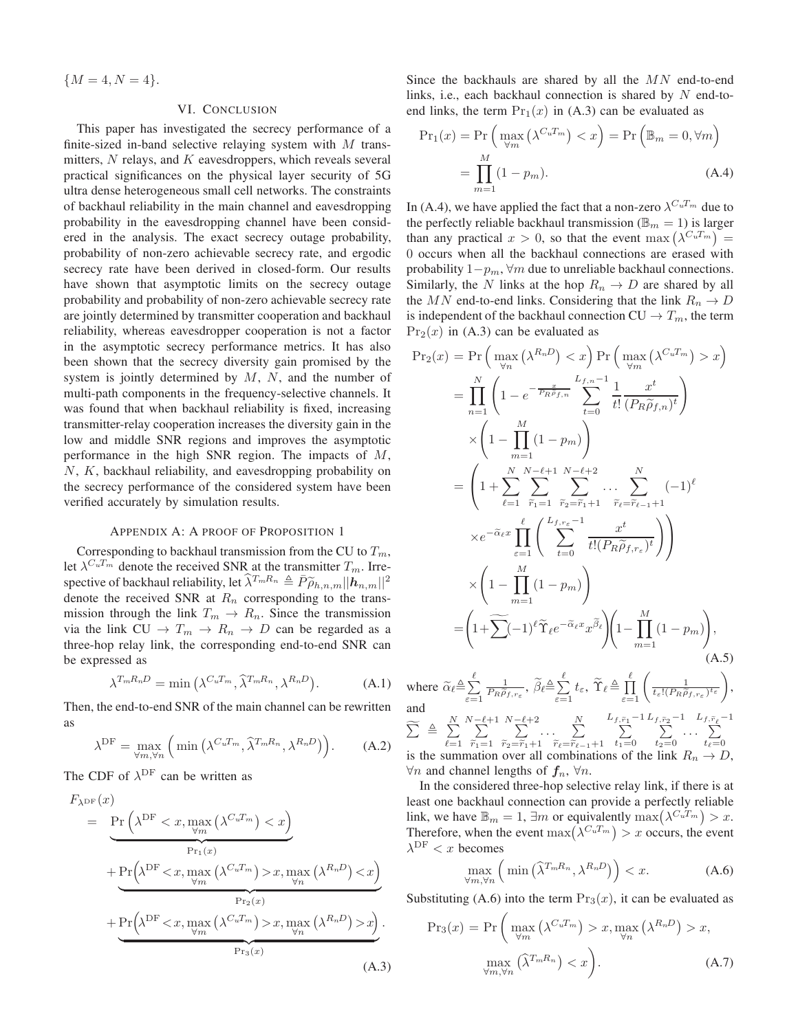$$
\{M = 4, N = 4\}.
$$

# VI. CONCLUSION

This paper has investigated the secrecy performance of a finite-sized in-band selective relaying system with  $M$  transmitters, N relays, and K eavesdroppers, which reveals several practical significances on the physical layer security of 5G ultra dense heterogeneous small cell networks. The constraints of backhaul reliability in the main channel and eavesdropping probability in the eavesdropping channel have been considered in the analysis. The exact secrecy outage probability, probability of non-zero achievable secrecy rate, and ergodic secrecy rate have been derived in closed-form. Our results have shown that asymptotic limits on the secrecy outage probability and probability of non-zero achievable secrecy rate are jointly determined by transmitter cooperation and backhaul reliability, whereas eavesdropper cooperation is not a factor in the asymptotic secrecy performance metrics. It has also been shown that the secrecy diversity gain promised by the system is jointly determined by  $M$ ,  $N$ , and the number of multi-path components in the frequency-selective channels. It was found that when backhaul reliability is fixed, increasing transmitter-relay cooperation increases the diversity gain in the low and middle SNR regions and improves the asymptotic performance in the high SNR region. The impacts of M,  $N, K$ , backhaul reliability, and eavesdropping probability on the secrecy performance of the considered system have been verified accurately by simulation results.

#### APPENDIX A: A PROOF OF PROPOSITION 1

Corresponding to backhaul transmission from the CU to  $T_m$ , let  $\lambda^{C_u T_m}$  denote the received SNR at the transmitter  $T_m$ . Irrespective of backhaul reliability, let  $\hat{\lambda}^{T_mR_n} \triangleq \bar{P} \tilde{\rho}_{h,n,m} ||h_{n,m}||^2$ denote the received SNR at  $R_n$  corresponding to the transmission through the link  $T_m \to R_n$ . Since the transmission via the link CU  $\rightarrow T_m \rightarrow R_n \rightarrow D$  can be regarded as a three-hop relay link, the corresponding end-to-end SNR can be expressed as

$$
\lambda^{T_m R_n D} = \min \left( \lambda^{C_u T_m}, \hat{\lambda}^{T_m R_n}, \lambda^{R_n D} \right). \tag{A.1}
$$

Then, the end-to-end SNR of the main channel can be rewritten as

$$
\lambda^{\text{DF}} = \max_{\forall m, \forall n} \left( \min \left( \lambda^{C_u T_m}, \hat{\lambda}^{T_m R_n}, \lambda^{R_n D} \right) \right). \tag{A.2}
$$

The CDF of  $\lambda^{\rm DF}$  can be written as

$$
F_{\lambda^{\rm DF}}(x)
$$
\n
$$
= \underbrace{\Pr\left(\lambda^{\rm DF} < x, \max_{\forall m} \left(\lambda^{C_u T_m}\right) < x\right)}_{\Pr_1(x)} + \underbrace{\Pr\left(\lambda^{\rm DF} < x, \max_{\forall m} \left(\lambda^{C_u T_m}\right) > x, \max_{\forall n} \left(\lambda^{R_n D}\right) < x\right)}_{\Pr_2(x)} + \underbrace{\Pr\left(\lambda^{\rm DF} < x, \max_{\forall m} \left(\lambda^{C_u T_m}\right) > x, \max_{\forall n} \left(\lambda^{R_n D}\right) > x\right)}_{\Pr_3(x)}.
$$
\n(A.3)

Since the backhauls are shared by all the  $MN$  end-to-end links, i.e., each backhaul connection is shared by  $N$  end-toend links, the term  $Pr_1(x)$  in (A.3) can be evaluated as

$$
\Pr_1(x) = \Pr\left(\max_{\forall m} \left(\lambda^{C_u T_m}\right) < x\right) = \Pr\left(\mathbb{B}_m = 0, \forall m\right)
$$
\n
$$
= \prod_{m=1}^M (1 - p_m). \tag{A.4}
$$

In (A.4), we have applied the fact that a non-zero  $\lambda^{C_u T_m}$  due to the perfectly reliable backhaul transmission ( $\mathbb{B}_m = 1$ ) is larger than any practical  $x > 0$ , so that the event max  $(\lambda^{C_u T_m}) =$ 0 occurs when all the backhaul connections are erased with probability  $1-p_m$ ,  $\forall m$  due to unreliable backhaul connections. Similarly, the N links at the hop  $R_n \to D$  are shared by all the MN end-to-end links. Considering that the link  $R_n \to D$ is independent of the backhaul connection  $CU \to T_m$ , the term  $Pr<sub>2</sub>(x)$  in (A.3) can be evaluated as

$$
Pr_2(x) = Pr\left(\max_{\forall n} (\lambda^{R_n} - X) < x\right) Pr\left(\max_{\forall m} (\lambda^{C_u} - X) > x\right)
$$
\n
$$
= \prod_{n=1}^N \left(1 - e^{-\frac{x}{P_R \beta_{f,n}}} \sum_{t=0}^{L_{f,n}-1} \frac{1}{t!} \frac{x^t}{(P_R \widetilde{\rho}_{f,n})^t}\right)
$$
\n
$$
\times \left(1 - \prod_{m=1}^M (1 - p_m)\right)
$$
\n
$$
= \left(1 + \sum_{\ell=1}^N \sum_{\tilde{r}_1=1}^{N-\ell+1} \sum_{\tilde{r}_2=\tilde{r}_1+1}^{N-\ell+2} \dots \sum_{\tilde{r}_\ell=\tilde{r}_{\ell-1}+1}^{N} (-1)^{\ell} \right)
$$
\n
$$
\times e^{-\tilde{\alpha}_{\ell}x} \prod_{\epsilon=1}^{\ell} \left(\sum_{t=0}^{L_{f,r_{\epsilon}}-1} \frac{x^t}{t! (P_R \widetilde{\rho}_{f,r_{\epsilon}})^t}\right)
$$
\n
$$
\times \left(1 - \prod_{m=1}^M (1 - p_m)\right)
$$
\n
$$
= \left(1 + \sum_{\ell=1}^M (-1)^{\ell} \widetilde{\gamma}_{\ell} e^{-\tilde{\alpha}_{\ell}x} x^{\tilde{\beta}_{\ell}} \right) \left(1 - \prod_{m=1}^M (1 - p_m)\right),
$$
\n(A.5)

where  $\widetilde{\alpha}_{\ell} \triangleq \sum_{\ell=1}^{\ell}$  $\varepsilon=1$  $\frac{1}{P_R \widetilde{\rho}_{f,r_\varepsilon}},\ \widetilde{\beta}_\ell \triangleq \sum_{\varepsilon=1}^\ell$  $\sum_{\varepsilon=1}^\ell t_\varepsilon, \ \widetilde{\Upsilon}_\ell \! \triangleq \! \prod_{\varepsilon=1}^\ell \left( \frac{1}{t_\varepsilon! (P_R \widetilde{\rho}_{f, r_\varepsilon})^{t_\varepsilon}} \right)$  $\overline{ }$ , and  $\widetilde{\sum} \triangleq \sum_{i=1}^{N}$  $\ell=1$  $\sum_{n=1}^{N-\ell+1}$  $\widetilde{r}_1=1$  $\sum_{n=1}^{N-\ell+2}$  $\widetilde{r}_2=\widetilde{r}_1+1$  $\ldots \sum^{N}$  $\widetilde{r}_{\ell}=\widetilde{r}_{\ell-1}+1$  $\sum_{f,\tilde{r}_1-1}^{L_f,\tilde{r}_1-1}$  $t_1=0$  $\sum_{f,\tilde{r}_2-1}^{L_f,\tilde{r}_2-1}$  $t_2=0$  $\cdots \sum^{L_{f,\widetilde{r}_{\ell}}-1}$  $t_\ell=0$ is the summation over all combinations of the link  $R$  $∀n$  and channel lengths of  $f_n$ ,  $∀n$ .

In the considered three-hop selective relay link, if there is at least one backhaul connection can provide a perfectly reliable link, we have  $\mathbb{B}_m = 1$ ,  $\exists m$  or equivalently  $\max(\lambda^{C_u T_m}) > x$ . Therefore, when the event  $\max(\lambda^{C_u T_m}) > x$  occurs, the event  $\lambda^{\rm DF} < x$  becomes

$$
\max_{\forall m,\forall n} \left( \min \left( \widehat{\lambda}^{T_m R_n}, \lambda^{R_n D} \right) \right) < x. \tag{A.6}
$$

Substituting (A.6) into the term  $Pr_3(x)$ , it can be evaluated as

$$
\Pr_3(x) = \Pr\left(\max_{\forall m} \left(\lambda^{C_u T_m}\right) > x, \max_{\forall n} \left(\lambda^{R_n D}\right) > x, \max_{\forall m, \forall n} \left(\widehat{\lambda}^{T_m R_n}\right) < x\right).
$$
\n(A.7)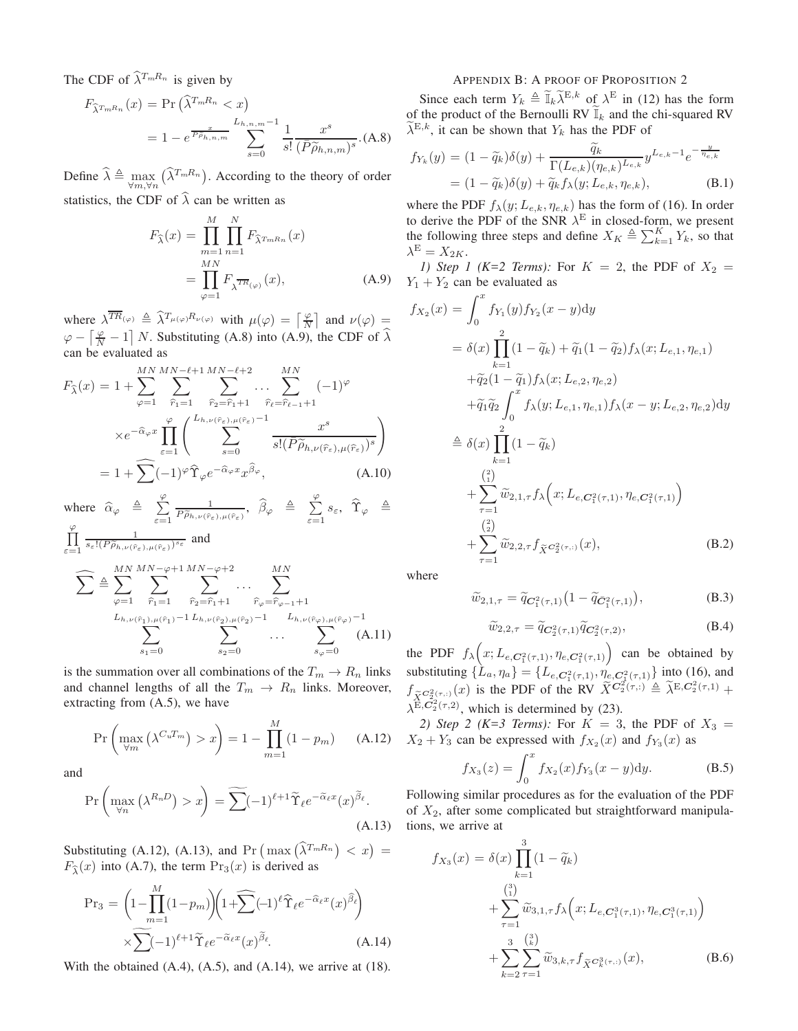The CDF of  $\hat{\lambda}^{T_mR_n}$  is given by

$$
F_{\widehat{\lambda}^{T_m R_n}}(x) = \Pr\left(\widehat{\lambda}^{T_m R_n} < x\right)
$$
\n
$$
= 1 - e^{\frac{x}{\widehat{P}\widetilde{\rho}_{h,n,m}}} \sum_{s=0}^{L_{h,n,m}-1} \frac{1}{s!} \frac{x^s}{(\overline{P}\widetilde{\rho}_{h,n,m})^s} . \text{(A.8)}
$$

Define  $\widehat{\lambda} \triangleq \max_{\forall m, \forall n}$  $(\hat{\lambda}^{T_m R_n})$ . According to the theory of order statistics, the CDF of  $\hat{\lambda}$  can be written as

$$
F_{\widehat{\lambda}}(x) = \prod_{m=1}^{M} \prod_{n=1}^{N} F_{\widehat{\lambda}^{T_m R_n}}(x)
$$
  
= 
$$
\prod_{\varphi=1}^{MN} F_{\widehat{\lambda}^{T_R}(\varphi)}(x),
$$
 (A.9)

where  $\lambda^{\overline{TR}}(\varphi) \triangleq \hat{\lambda}^{T_{\mu(\varphi)}R_{\nu(\varphi)}}$  with  $\mu(\varphi) = \left\lceil \frac{\varphi}{N} \right\rceil$  and  $\nu(\varphi) =$  $\varphi - \left[\frac{\varphi}{N} - 1\right] N$ . Substituting (A.8) into (A.9), the CDF of  $\widehat{\lambda}$ can be evaluated as

$$
F_{\widehat{\lambda}}(x) = 1 + \sum_{\varphi=1}^{MN} \sum_{\widehat{r}_1=1}^{MN-\ell+1} \sum_{\widehat{r}_2=\widehat{r}_1+1}^{MN-\ell+2} \dots \sum_{\widehat{r}_\ell=\widehat{r}_{\ell-1}+1}^{MN} (-1)^{\varphi}
$$

$$
\times e^{-\widehat{\alpha}_{\varphi}x} \prod_{\varepsilon=1}^{\varphi} \left( \sum_{s=0}^{L_{h,\nu}(\widehat{r}_{\varepsilon}),\mu(\widehat{r}_{\varepsilon})-1} \frac{x^s}{s!(\bar{P}\widetilde{\rho}_{h,\nu(\widehat{r}_{\varepsilon}),\mu(\widehat{r}_{\varepsilon}))^s} \right)
$$

$$
= 1 + \widehat{\sum} (-1)^{\varphi} \widehat{\Upsilon}_{\varphi} e^{-\widehat{\alpha}_{\varphi}x} x^{\widehat{\beta}_{\varphi}}, \qquad (A.10)
$$

where 
$$
\hat{\alpha}_{\varphi} \triangleq \sum_{\varepsilon=1}^{\varphi} \frac{1}{\bar{P} \tilde{\rho}_{h,\nu(\hat{r}_{\varepsilon}),\mu(\hat{r}_{\varepsilon})}}, \quad \hat{\beta}_{\varphi} \triangleq \sum_{\varepsilon=1}^{\varphi} s_{\varepsilon}, \quad \hat{\Upsilon}_{\varphi} \triangleq
$$
  
\n
$$
\prod_{\varepsilon=1}^{\varphi} \frac{1}{s_{\varepsilon}! (\bar{P} \tilde{\rho}_{h,\nu(\hat{r}_{\varepsilon}),\mu(\hat{r}_{\varepsilon}))} s_{\varepsilon}} \text{ and}
$$
\n
$$
\widehat{\sum} \triangleq \sum_{\varphi=1}^{MN} \sum_{\hat{r}_{1}=1}^{MN-\varphi+1} \sum_{\hat{r}_{2}=\hat{r}_{1}+1}^{MN-\varphi+2} \dots \sum_{\hat{r}_{\varphi}=\hat{r}_{\varphi-1}+1}^{MN} \frac{1}{\hat{r}_{\varphi}=\hat{r}_{\varphi-1}+1}
$$
\n
$$
L_{h,\nu(\hat{r}_{1}),\mu(\hat{r}_{1})-1} L_{h,\nu(\hat{r}_{2}),\mu(\hat{r}_{2})-1} \dots L_{h,\nu(\hat{r}_{\varphi}),\mu(\hat{r}_{\varphi})-1}
$$
\n
$$
\sum_{s_{1}=0}^{M} \sum_{\hat{s}_{2}=0}^{M} \dots \sum_{s_{\varphi}=0}^{M} (A.11)
$$

is the summation over all combinations of the  $T_m \to R_n$  links and channel lengths of all the  $T_m \rightarrow R_n$  links. Moreover, extracting from (A.5), we have

$$
\Pr\left(\max_{\forall m} \left(\lambda^{C_u T_m}\right) > x\right) = 1 - \prod_{m=1}^{M} (1 - p_m) \quad (A.12)
$$

and

$$
\Pr\left(\max_{\forall n} \left(\lambda^{R_n D}\right) > x\right) = \widetilde{\sum} (-1)^{\ell+1} \widetilde{\Upsilon}_{\ell} e^{-\widetilde{\alpha}_{\ell} x} (x)^{\widetilde{\beta}_{\ell}}.\tag{A.13}
$$

Substituting (A.12), (A.13), and  $Pr(\max(\hat{\lambda}^{T_mR_n}) < x)$  =  $F_{\hat{\lambda}}(x)$  into (A.7), the term  $Pr_3(x)$  is derived as

$$
\Pr_3 = \left(1 - \prod_{m=1}^{M} (1 - p_m)\right) \left(1 + \widehat{\sum} (-1)^{\ell} \widehat{\Upsilon}_{\ell} e^{-\widehat{\alpha}_{\ell} x} (x)^{\widehat{\beta}_{\ell}}\right)
$$

$$
\times \widehat{\sum} (-1)^{\ell+1} \widetilde{\Upsilon}_{\ell} e^{-\widetilde{\alpha}_{\ell} x} (x)^{\widetilde{\beta}_{\ell}}.
$$
(A.14)

With the obtained  $(A.4)$ ,  $(A.5)$ , and  $(A.14)$ , we arrive at  $(18)$ .

# APPENDIX B: A PROOF OF PROPOSITION 2

Since each term  $Y_k \triangleq \widetilde{\mathbb{I}}_k \widetilde{\lambda}^{E,k}$  of  $\lambda^E$  in (12) has the form of the product of the Bernoulli RV  $\widetilde{I}_k$  and the chi-squared RV  $\widetilde{\lambda}^{E,k}$ , it can be shown that  $Y_k$  has the PDF of

$$
f_{Y_k}(y) = (1 - \widetilde{q}_k)\delta(y) + \frac{\widetilde{q}_k}{\Gamma(L_{e,k})(\eta_{e,k})^{L_{e,k}}} y^{L_{e,k}-1} e^{-\frac{y}{\eta_{e,k}}}
$$

$$
= (1 - \widetilde{q}_k)\delta(y) + \widetilde{q}_k f_\lambda(y; L_{e,k}, \eta_{e,k}),
$$
(B.1)

where the PDF  $f_{\lambda}(y;L_{e,k}, \eta_{e,k})$  has the form of (16). In order to derive the PDF of the SNR  $\lambda^E$  in closed-form, we present the following three steps and define  $X_K \triangleq \sum_{k=1}^K Y_k$ , so that  $\lambda^{\mathcal{E}} = X_{2K}.$ 

*1) Step 1 (K=2 Terms):* For  $K = 2$ , the PDF of  $X_2 =$  $Y_1 + Y_2$  can be evaluated as

$$
f_{X_2}(x) = \int_0^x f_{Y_1}(y) f_{Y_2}(x - y) dy
$$
  
\n
$$
= \delta(x) \prod_{k=1}^2 (1 - \tilde{q}_k) + \tilde{q}_1 (1 - \tilde{q}_2) f_\lambda(x; L_{e,1}, \eta_{e,1})
$$
  
\n
$$
+ \tilde{q}_2 (1 - \tilde{q}_1) f_\lambda(x; L_{e,2}, \eta_{e,2})
$$
  
\n
$$
+ \tilde{q}_1 \tilde{q}_2 \int_0^x f_\lambda(y; L_{e,1}, \eta_{e,1}) f_\lambda(x - y; L_{e,2}, \eta_{e,2}) dy
$$
  
\n
$$
\stackrel{\triangle}{=} \delta(x) \prod_{k=1}^2 (1 - \tilde{q}_k)
$$
  
\n
$$
+ \sum_{\tau=1}^{\binom{2}{1}} \tilde{w}_{2,1,\tau} f_\lambda(x; L_{e,C_1^2(\tau,1)}, \eta_{e,C_1^2(\tau,1)})
$$
  
\n
$$
+ \sum_{\tau=1}^{\binom{2}{2}} \tilde{w}_{2,2,\tau} f_{\tilde{X}C_2^2(\tau,\tau)}(x), \qquad (B.2)
$$

where

$$
\widetilde{w}_{2,1,\tau} = \widetilde{q}_{\mathbf{C}_1^2(\tau,1)} \left( 1 - \widetilde{q}_{\bar{\mathbf{C}}_1^2(\tau,1)} \right),\tag{B.3}
$$

$$
\widetilde{w}_{2,2,\tau} = \widetilde{q}_{\mathbf{C}_2^2(\tau,1)} \widetilde{q}_{\mathbf{C}_2^2(\tau,2)},\tag{B.4}
$$

the PDF  $f_{\lambda}\left(x;L_{e,C_1^2(\tau,1)},\eta_{e,C_1^2(\tau,1)}\right)$  can be obtained by substituting  $\{L_a, \eta_a\} = \{L_{e, \mathbf{C}_1^2(\tau,1)}, \eta_{e, \mathbf{C}_1^2(\tau,1)}\}$  into (16), and  $f_{\tilde{X}C_2^2(\tau,1)}(x)$  is the PDF of the RV  $\tilde{X}C_2^2(\tau,1) \triangleq \tilde{\lambda}^{\text{E}} \cdot C_2^2(\tau,1) +$  $\lambda^{\hat{E}, C_2^2(\tau,2)}$ , which is determined by (23).

2) Step 2 (K=3 Terms): For  $K = 3$ , the PDF of  $X_3 =$  $X_2 + Y_3$  can be expressed with  $f_{X_2}(x)$  and  $f_{Y_3}(x)$  as

$$
f_{X_3}(z) = \int_0^x f_{X_2}(x) f_{Y_3}(x - y) dy.
$$
 (B.5)

Following similar procedures as for the evaluation of the PDF of  $X_2$ , after some complicated but straightforward manipulations, we arrive at

$$
f_{X_3}(x) = \delta(x) \prod_{k=1}^3 (1 - \tilde{q}_k)
$$
  
+ 
$$
\sum_{\tau=1}^{{3 \choose 1}} \tilde{w}_{3,1,\tau} f_{\lambda}\left(x; L_{e,C_1^3(\tau,1)}, \eta_{e,C_1^3(\tau,1)}\right)
$$
  
+ 
$$
\sum_{k=2}^3 \sum_{\tau=1}^{{3 \choose k}} \tilde{w}_{3,k,\tau} f_{\tilde{X}^{C_k^3(\tau,\tau)}}(x),
$$
 (B.6)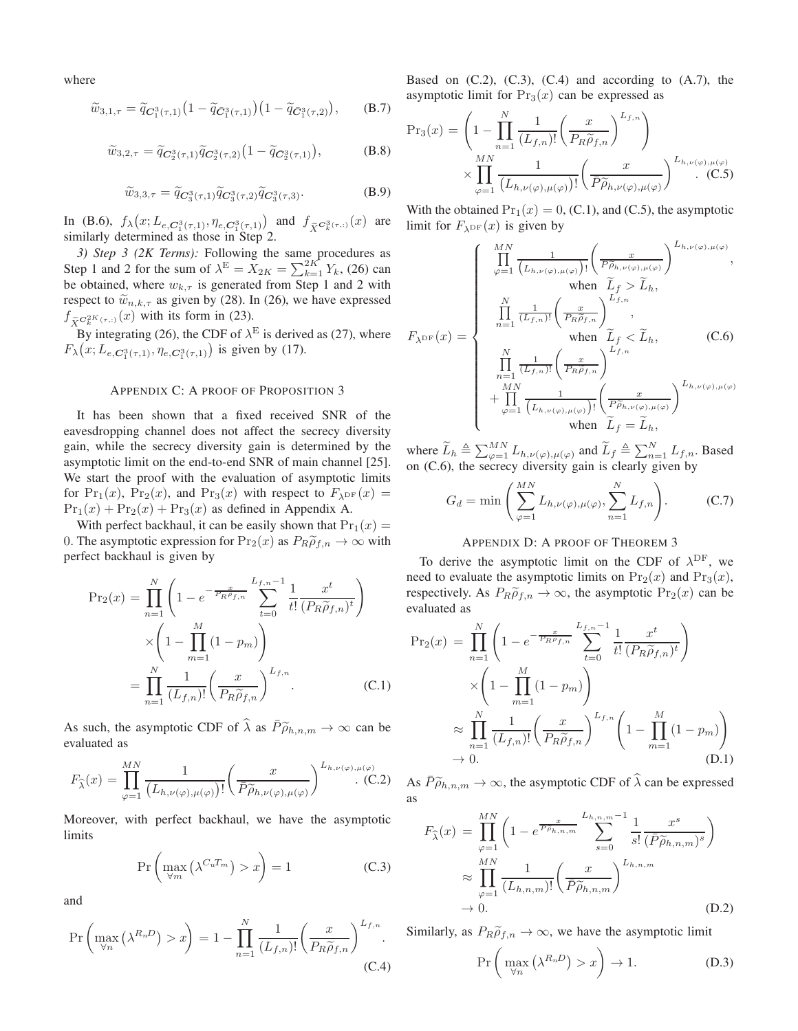where

$$
\widetilde{w}_{3,1,\tau} = \widetilde{q}_{\mathbf{C}_1^3(\tau,1)} \big(1 - \widetilde{q}_{\mathbf{C}_1^3(\tau,1)}\big) \big(1 - \widetilde{q}_{\mathbf{C}_1^3(\tau,2)}\big),\tag{B.7}
$$

$$
\widetilde{w}_{3,2,\tau} = \widetilde{q}_{\mathbf{C}_2^3(\tau,1)} \widetilde{q}_{\mathbf{C}_2^3(\tau,2)} \left(1 - \widetilde{q}_{\bar{\mathbf{C}}_2^3(\tau,1)}\right),\tag{B.8}
$$

$$
\widetilde{w}_{3,3,\tau} = \widetilde{q}_{\mathbf{C}_3^3(\tau,1)} \widetilde{q}_{\mathbf{C}_3^3(\tau,2)} \widetilde{q}_{\mathbf{C}_3^3(\tau,3)}.
$$
\n(B.9)

In (B.6),  $f_{\lambda}(x; L_{e, \mathcal{O}_{1}^{3}(\tau,1)}, \eta_{e, \mathcal{O}_{1}^{3}(\tau,1)})$  and  $f_{\tilde{X}^{\mathcal{O}_{k}^{3}(\tau,1)}}(x)$  are similarly determined as those in Step 2.

*3) Step 3 (2K Terms):* Following the same procedures as Step 1 and 2 for the sum of  $\lambda^{\text{E}} = X_{2K} = \sum_{k=1}^{2K} Y_k$ , (26) can be obtained, where  $w_{k,\tau}$  is generated from Step 1 and 2 with respect to  $\widetilde{w}_{n,k,\tau}$  as given by (28). In (26), we have expressed  $f_{\tilde{X}^{C_k^{2K}(\tau,\cdot)}}(x)$  with its form in (23).

By integrating (26), the CDF of  $\lambda^E$  is derived as (27), where  $F_{\lambda}(x; L_{e, \mathbf{C}_{1}^{3}(\tau,1)}, \eta_{e, \mathbf{C}_{1}^{3}(\tau,1)})$  is given by (17).

#### APPENDIX C: A PROOF OF PROPOSITION 3

It has been shown that a fixed received SNR of the eavesdropping channel does not affect the secrecy diversity gain, while the secrecy diversity gain is determined by the asymptotic limit on the end-to-end SNR of main channel [25]. We start the proof with the evaluation of asymptotic limits for  $Pr_1(x)$ ,  $Pr_2(x)$ , and  $Pr_3(x)$  with respect to  $F_{\lambda^{DF}}(x) =$  $Pr_1(x) + Pr_2(x) + Pr_3(x)$  as defined in Appendix A.

With perfect backhaul, it can be easily shown that  $Pr_1(x) =$ 0. The asymptotic expression for  $Pr_2(x)$  as  $P_R\widetilde{\rho}_{f,n} \to \infty$  with perfect backhaul is given by

$$
\Pr_2(x) = \prod_{n=1}^N \left( 1 - e^{-\frac{x}{P_R \tilde{\rho}_{f,n}}} \sum_{t=0}^{L_{f,n}-1} \frac{1}{t!} \frac{x^t}{(P_R \tilde{\rho}_{f,n})^t} \right)
$$

$$
\times \left( 1 - \prod_{m=1}^M (1 - p_m) \right)
$$

$$
= \prod_{n=1}^N \frac{1}{(L_{f,n})!} \left( \frac{x}{P_R \tilde{\rho}_{f,n}} \right)^{L_{f,n}}.
$$
(C.1)

As such, the asymptotic CDF of  $\widehat{\lambda}$  as  $\overline{P}\widetilde{\rho}_{h,n,m} \to \infty$  can be evaluated as

$$
F_{\widehat{\lambda}}(x) = \prod_{\varphi=1}^{MN} \frac{1}{\left(L_{h,\nu(\varphi),\mu(\varphi)}\right)!} \left(\frac{x}{\overline{P} \widetilde{\rho}_{h,\nu(\varphi),\mu(\varphi)}}\right)^{L_{h,\nu(\varphi),\mu(\varphi)}}.
$$
 (C.2)

Moreover, with perfect backhaul, we have the asymptotic limits

$$
\Pr\left(\max_{\forall m} \left(\lambda^{C_u T_m}\right) > x\right) = 1\tag{C.3}
$$

and

$$
\Pr\left(\max_{\forall n} \left(\lambda^{R_n D}\right) > x\right) = 1 - \prod_{n=1}^{N} \frac{1}{(L_{f,n})!} \left(\frac{x}{P_R \tilde{\rho}_{f,n}}\right)^{L_{f,n}}.\tag{C.4}
$$

Based on  $(C.2)$ ,  $(C.3)$ ,  $(C.4)$  and according to  $(A.7)$ , the asymptotic limit for  $Pr_3(x)$  can be expressed as

$$
Pr_3(x) = \left(1 - \prod_{n=1}^N \frac{1}{(L_{f,n})!} \left(\frac{x}{P_R \widetilde{\rho}_{f,n}}\right)^{L_{f,n}}\right)
$$

$$
\times \prod_{\varphi=1}^{MN} \frac{1}{(L_{h,\nu(\varphi),\mu(\varphi)})!} \left(\frac{x}{\overline{P} \widetilde{\rho}_{h,\nu(\varphi),\mu(\varphi)}}\right)^{L_{h,\nu(\varphi),\mu(\varphi)}}.
$$
(C.5)

With the obtained  $Pr_1(x) = 0$ , (C.1), and (C.5), the asymptotic limit for  $F_{\lambda \text{DF}}(x)$  is given by

$$
F_{\lambda \text{DF}}(x) = \begin{cases} \prod_{\varphi=1}^{MN} \frac{1}{\left(L_{h,\nu(\varphi),\mu(\varphi)}\right)!} \left(\frac{x}{P\widetilde{\rho}_{h,\nu(\varphi),\mu(\varphi)}}\right)^{L_{h,\nu(\varphi),\mu(\varphi)}},\\ \text{when } \widetilde{L}_f > \widetilde{L}_h,\\ \prod_{n=1}^{N} \frac{1}{(L_{f,n})!} \left(\frac{x}{P_R\widetilde{\rho}_{f,n}}\right)^{L_{f,n}},\\ \text{when } \widetilde{L}_f < \widetilde{L}_h,\\ \prod_{n=1}^{N} \frac{1}{(L_{f,n})!} \left(\frac{x}{P_R\widetilde{\rho}_{f,n}}\right)^{L_{f,n}}\\ + \prod_{\varphi=1}^{MN} \frac{1}{\left(L_{h,\nu(\varphi),\mu(\varphi)}\right)!} \left(\frac{x}{P\widetilde{\rho}_{h,\nu(\varphi),\mu(\varphi)}}\right)^{L_{h,\nu(\varphi),\mu(\varphi)}}\\ \text{when } \widetilde{L}_f = \widetilde{L}_h, \end{cases} \tag{C.6}
$$

where  $\widetilde{L}_h \triangleq \sum_{\varphi=1}^{MN} L_{h,\nu(\varphi),\mu(\varphi)}$  and  $\widetilde{L}_f \triangleq \sum_{n=1}^{N} L_{f,n}$ . Based on (C.6), the secrecy diversity gain is clearly given by

$$
G_d = \min\left(\sum_{\varphi=1}^{MN} L_{h,\nu(\varphi),\mu(\varphi)}, \sum_{n=1}^{N} L_{f,n}\right).
$$
 (C.7)

# APPENDIX D: A PROOF OF THEOREM 3

To derive the asymptotic limit on the CDF of  $\lambda^{\text{DF}}$ , we need to evaluate the asymptotic limits on  $Pr<sub>2</sub>(x)$  and  $Pr<sub>3</sub>(x)$ , respectively. As  $P_R \tilde{\rho}_{f,n} \to \infty$ , the asymptotic  $Pr_2(x)$  can be evaluated as

$$
\Pr_2(x) = \prod_{n=1}^N \left( 1 - e^{-\frac{x}{P_R \tilde{\rho}_{f,n}}} \sum_{t=0}^{L_{f,n}-1} \frac{1}{t!} \frac{x^t}{(P_R \tilde{\rho}_{f,n})^t} \right)
$$

$$
\times \left( 1 - \prod_{m=1}^M (1 - p_m) \right)
$$

$$
\approx \prod_{n=1}^N \frac{1}{(L_{f,n})!} \left( \frac{x}{P_R \tilde{\rho}_{f,n}} \right)^{L_{f,n}} \left( 1 - \prod_{m=1}^M (1 - p_m) \right)
$$

$$
\to 0.
$$
(D.1)

As  $\bar{P}\widetilde{\rho}_{h,n,m} \to \infty$ , the asymptotic CDF of  $\widehat{\lambda}$  can be expressed as

$$
F_{\widehat{\lambda}}(x) = \prod_{\varphi=1}^{MN} \left(1 - e^{\frac{x}{\widehat{P}\widetilde{\rho}_{h,n,m}} \sum_{s=0}^{L_{h,n,m}-1} \frac{1}{s!} \frac{x^s}{(\overline{P}\widetilde{\rho}_{h,n,m})^s} \right)
$$
  

$$
\approx \prod_{\varphi=1}^{MN} \frac{1}{(L_{h,n,m})!} \left(\frac{x}{\overline{P}\widetilde{\rho}_{h,n,m}}\right)^{L_{h,n,m}}
$$
  

$$
\to 0.
$$
 (D.2)

Similarly, as  $P_R \tilde{\rho}_{f,n} \to \infty$ , we have the asymptotic limit

$$
\Pr\left(\max_{\forall n} \left(\lambda^{R_n D}\right) > x\right) \to 1. \tag{D.3}
$$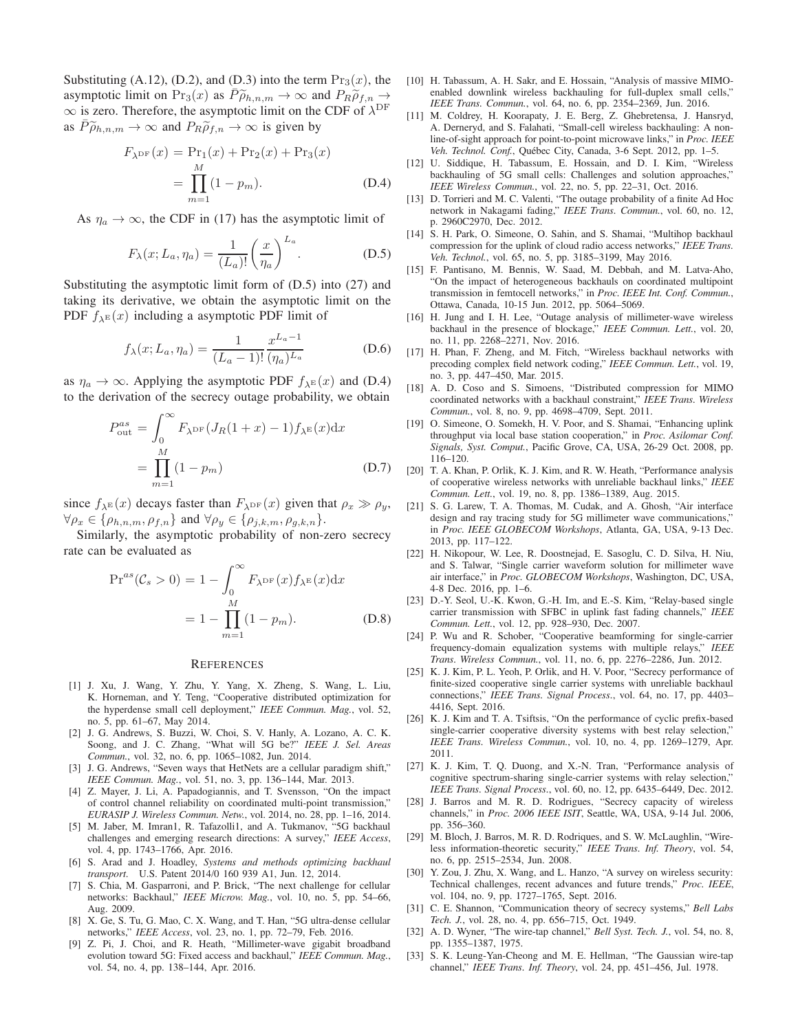Substituting (A.12), (D.2), and (D.3) into the term  $Pr<sub>3</sub>(x)$ , the asymptotic limit on  $\Pr_3(x)$  as  $\widetilde{P}_{\widetilde{p}_{h,n,m}} \to \infty$  and  $P_R \widetilde{\rho}_{f,n} \to$  $\infty$  is zero. Therefore, the asymptotic limit on the CDF of  $\lambda^{\rm DF}$ as  $\widetilde{P}_{\widetilde{\rho}_{h,n,m}} \to \infty$  and  $P_R \widetilde{\rho}_{f,n} \to \infty$  is given by

$$
F_{\lambda^{\rm DF}}(x) = \Pr_1(x) + \Pr_2(x) + \Pr_3(x)
$$
  
= 
$$
\prod_{m=1}^{M} (1 - p_m).
$$
 (D.4)

As  $\eta_a \to \infty$ , the CDF in (17) has the asymptotic limit of

$$
F_{\lambda}(x; L_a, \eta_a) = \frac{1}{(L_a)!} \left(\frac{x}{\eta_a}\right)^{L_a}.
$$
 (D.5)

Substituting the asymptotic limit form of (D.5) into (27) and taking its derivative, we obtain the asymptotic limit on the PDF  $f_{\lambda}E(x)$  including a asymptotic PDF limit of

$$
f_{\lambda}(x; L_a, \eta_a) = \frac{1}{(L_a - 1)!} \frac{x^{L_a - 1}}{(\eta_a)^{L_a}}
$$
 (D.6)

as  $\eta_a \to \infty$ . Applying the asymptotic PDF  $f_{\lambda}(\mathbf{z})$  and (D.4) to the derivation of the secrecy outage probability, we obtain

$$
P_{\text{out}}^{as} = \int_0^\infty F_{\lambda^{\text{DF}}}(J_R(1+x) - 1) f_{\lambda^{\text{E}}}(x) dx
$$

$$
= \prod_{m=1}^M (1 - p_m) \tag{D.7}
$$

since  $f_{\lambda^E}(x)$  decays faster than  $F_{\lambda^{\rm DF}}(x)$  given that  $\rho_x \gg \rho_y$ ,  $\forall \rho_x \in \{\rho_{h,n,m}, \rho_{f,n}\}\$  and  $\forall \rho_y \in \{\rho_{j,k,m}, \rho_{g,k,n}\}\$ .

Similarly, the asymptotic probability of non-zero secrecy rate can be evaluated as

$$
\Pr^{as}(\mathcal{C}_s > 0) = 1 - \int_0^\infty F_{\lambda^{\text{DF}}}(x) f_{\lambda^{\text{E}}}(x) dx
$$

$$
= 1 - \prod_{m=1}^M (1 - p_m). \tag{D.8}
$$

#### **REFERENCES**

- [1] J. Xu, J. Wang, Y. Zhu, Y. Yang, X. Zheng, S. Wang, L. Liu, K. Horneman, and Y. Teng, "Cooperative distributed optimization for the hyperdense small cell deployment," *IEEE Commun. Mag.*, vol. 52, no. 5, pp. 61–67, May 2014.
- [2] J. G. Andrews, S. Buzzi, W. Choi, S. V. Hanly, A. Lozano, A. C. K. Soong, and J. C. Zhang, "What will 5G be?" *IEEE J. Sel. Areas Commun.*, vol. 32, no. 6, pp. 1065–1082, Jun. 2014.
- [3] J. G. Andrews, "Seven ways that HetNets are a cellular paradigm shift," *IEEE Commun. Mag.*, vol. 51, no. 3, pp. 136–144, Mar. 2013.
- [4] Z. Mayer, J. Li, A. Papadogiannis, and T. Svensson, "On the impact of control channel reliability on coordinated multi-point transmission," *EURASIP J. Wireless Commun. Netw.*, vol. 2014, no. 28, pp. 1–16, 2014.
- [5] M. Jaber, M. Imran1, R. Tafazolli1, and A. Tukmanov, "5G backhaul challenges and emerging research directions: A survey," *IEEE Access*, vol. 4, pp. 1743–1766, Apr. 2016.
- [6] S. Arad and J. Hoadley, *Systems and methods optimizing backhaul transport*. U.S. Patent 2014/0 160 939 A1, Jun. 12, 2014.
- [7] S. Chia, M. Gasparroni, and P. Brick, "The next challenge for cellular networks: Backhaul," *IEEE Microw. Mag.*, vol. 10, no. 5, pp. 54–66, Aug. 2009.
- [8] X. Ge, S. Tu, G. Mao, C. X. Wang, and T. Han, "5G ultra-dense cellular networks," *IEEE Access*, vol. 23, no. 1, pp. 72–79, Feb. 2016.
- [9] Z. Pi, J. Choi, and R. Heath, "Millimeter-wave gigabit broadband evolution toward 5G: Fixed access and backhaul," *IEEE Commun. Mag.*, vol. 54, no. 4, pp. 138–144, Apr. 2016.
- [10] H. Tabassum, A. H. Sakr, and E. Hossain, "Analysis of massive MIMOenabled downlink wireless backhauling for full-duplex small cells," *IEEE Trans. Commun.*, vol. 64, no. 6, pp. 2354–2369, Jun. 2016.
- [11] M. Coldrey, H. Koorapaty, J. E. Berg, Z. Ghebretensa, J. Hansryd, A. Derneryd, and S. Falahati, "Small-cell wireless backhauling: A nonline-of-sight approach for point-to-point microwave links," in *Proc. IEEE* Veh. Technol. Conf., Québec City, Canada, 3-6 Sept. 2012, pp. 1-5.
- [12] U. Siddique, H. Tabassum, E. Hossain, and D. I. Kim, "Wireless backhauling of 5G small cells: Challenges and solution approaches," *IEEE Wireless Commun.*, vol. 22, no. 5, pp. 22–31, Oct. 2016.
- [13] D. Torrieri and M. C. Valenti, "The outage probability of a finite Ad Hoc network in Nakagami fading," *IEEE Trans. Commun.*, vol. 60, no. 12, p. 2960C2970, Dec. 2012.
- [14] S. H. Park, O. Simeone, O. Sahin, and S. Shamai, "Multihop backhaul compression for the uplink of cloud radio access networks," *IEEE Trans. Veh. Technol.*, vol. 65, no. 5, pp. 3185–3199, May 2016.
- [15] F. Pantisano, M. Bennis, W. Saad, M. Debbah, and M. Latva-Aho, "On the impact of heterogeneous backhauls on coordinated multipoint transmission in femtocell networks," in *Proc. IEEE Int. Conf. Commun.*, Ottawa, Canada, 10-15 Jun. 2012, pp. 5064–5069.
- [16] H. Jung and I. H. Lee, "Outage analysis of millimeter-wave wireless backhaul in the presence of blockage," *IEEE Commun. Lett.*, vol. 20, no. 11, pp. 2268–2271, Nov. 2016.
- [17] H. Phan, F. Zheng, and M. Fitch, "Wireless backhaul networks with precoding complex field network coding," *IEEE Commun. Lett.*, vol. 19, no. 3, pp. 447–450, Mar. 2015.
- [18] A. D. Coso and S. Simoens, "Distributed compression for MIMO coordinated networks with a backhaul constraint," *IEEE Trans. Wireless Commun.*, vol. 8, no. 9, pp. 4698–4709, Sept. 2011.
- [19] O. Simeone, O. Somekh, H. V. Poor, and S. Shamai, "Enhancing uplink" throughput via local base station cooperation," in *Proc. Asilomar Conf. Signals, Syst. Comput.*, Pacific Grove, CA, USA, 26-29 Oct. 2008, pp. 116–120.
- [20] T. A. Khan, P. Orlik, K. J. Kim, and R. W. Heath, "Performance analysis of cooperative wireless networks with unreliable backhaul links," *IEEE Commun. Lett.*, vol. 19, no. 8, pp. 1386–1389, Aug. 2015.
- [21] S. G. Larew, T. A. Thomas, M. Cudak, and A. Ghosh, "Air interface design and ray tracing study for 5G millimeter wave communications," in *Proc. IEEE GLOBECOM Workshops*, Atlanta, GA, USA, 9-13 Dec. 2013, pp. 117–122.
- [22] H. Nikopour, W. Lee, R. Doostnejad, E. Sasoglu, C. D. Silva, H. Niu, and S. Talwar, "Single carrier waveform solution for millimeter wave air interface," in *Proc. GLOBECOM Workshops*, Washington, DC, USA, 4-8 Dec. 2016, pp. 1–6.
- [23] D.-Y. Seol, U.-K. Kwon, G.-H. Im, and E.-S. Kim, "Relay-based single carrier transmission with SFBC in uplink fast fading channels," *IEEE Commun. Lett.*, vol. 12, pp. 928–930, Dec. 2007.
- [24] P. Wu and R. Schober, "Cooperative beamforming for single-carrier frequency-domain equalization systems with multiple relays," *IEEE Trans. Wireless Commun.*, vol. 11, no. 6, pp. 2276–2286, Jun. 2012.
- [25] K. J. Kim, P. L. Yeoh, P. Orlik, and H. V. Poor, "Secrecy performance of finite-sized cooperative single carrier systems with unreliable backhaul connections," *IEEE Trans. Signal Process.*, vol. 64, no. 17, pp. 4403– 4416, Sept. 2016.
- [26] K. J. Kim and T. A. Tsiftsis, "On the performance of cyclic prefix-based single-carrier cooperative diversity systems with best relay selection," *IEEE Trans. Wireless Commun.*, vol. 10, no. 4, pp. 1269–1279, Apr. 2011.
- [27] K. J. Kim, T. Q. Duong, and X.-N. Tran, "Performance analysis of cognitive spectrum-sharing single-carrier systems with relay selection," *IEEE Trans. Signal Process.*, vol. 60, no. 12, pp. 6435–6449, Dec. 2012.
- [28] J. Barros and M. R. D. Rodrigues, "Secrecy capacity of wireless channels," in *Proc. 2006 IEEE ISIT*, Seattle, WA, USA, 9-14 Jul. 2006, pp. 356–360.
- [29] M. Bloch, J. Barros, M. R. D. Rodriques, and S. W. McLaughlin, "Wireless information-theoretic security," *IEEE Trans. Inf. Theory*, vol. 54, no. 6, pp. 2515–2534, Jun. 2008.
- [30] Y. Zou, J. Zhu, X. Wang, and L. Hanzo, "A survey on wireless security: Technical challenges, recent advances and future trends," *Proc. IEEE*, vol. 104, no. 9, pp. 1727–1765, Sept. 2016.
- [31] C. E. Shannon, "Communication theory of secrecy systems," *Bell Labs Tech. J.*, vol. 28, no. 4, pp. 656–715, Oct. 1949.
- [32] A. D. Wyner, "The wire-tap channel," *Bell Syst. Tech. J.*, vol. 54, no. 8, pp. 1355–1387, 1975.
- [33] S. K. Leung-Yan-Cheong and M. E. Hellman, "The Gaussian wire-tap channel," *IEEE Trans. Inf. Theory*, vol. 24, pp. 451–456, Jul. 1978.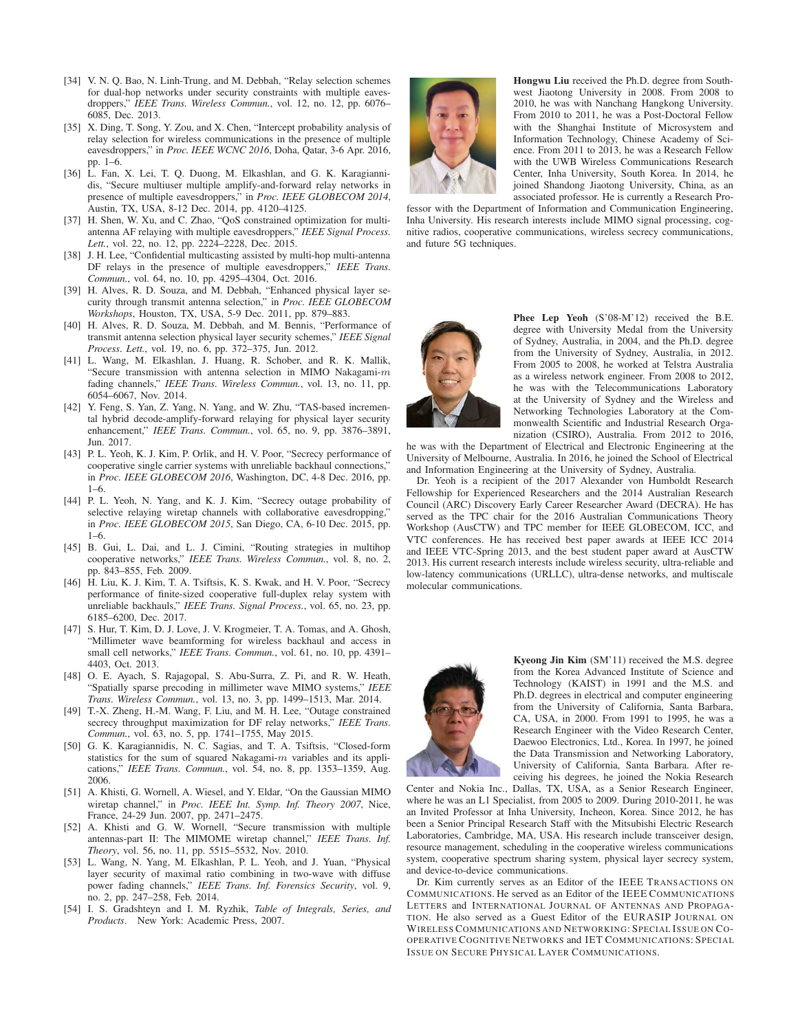- [34] V. N. Q. Bao, N. Linh-Trung, and M. Debbah, "Relay selection schemes for dual-hop networks under security constraints with multiple eavesdroppers," *IEEE Trans. Wireless Commun.*, vol. 12, no. 12, pp. 6076– 6085, Dec. 2013.
- [35] X. Ding, T. Song, Y. Zou, and X. Chen, "Intercept probability analysis of relay selection for wireless communications in the presence of multiple eavesdroppers," in *Proc. IEEE WCNC 2016*, Doha, Qatar, 3-6 Apr. 2016, pp. 1–6.
- [36] L. Fan, X. Lei, T. Q. Duong, M. Elkashlan, and G. K. Karagiannidis, "Secure multiuser multiple amplify-and-forward relay networks in presence of multiple eavesdroppers," in *Proc. IEEE GLOBECOM 2014*, Austin, TX, USA, 8-12 Dec. 2014, pp. 4120–4125.
- [37] H. Shen, W. Xu, and C. Zhao, "OoS constrained optimization for multiantenna AF relaying with multiple eavesdroppers," *IEEE Signal Process. Lett.*, vol. 22, no. 12, pp. 2224–2228, Dec. 2015.
- [38] J. H. Lee, "Confidential multicasting assisted by multi-hop multi-antenna DF relays in the presence of multiple eavesdroppers," *IEEE Trans. Commun.*, vol. 64, no. 10, pp. 4295–4304, Oct. 2016.
- [39] H. Alves, R. D. Souza, and M. Debbah, "Enhanced physical layer security through transmit antenna selection," in *Proc. IEEE GLOBECOM Workshops*, Houston, TX, USA, 5-9 Dec. 2011, pp. 879–883.
- [40] H. Alves, R. D. Souza, M. Debbah, and M. Bennis, "Performance of transmit antenna selection physical layer security schemes," *IEEE Signal Process. Lett.*, vol. 19, no. 6, pp. 372–375, Jun. 2012.
- [41] L. Wang, M. Elkashlan, J. Huang, R. Schober, and R. K. Mallik, "Secure transmission with antenna selection in MIMO Nakagami- $m$ fading channels," *IEEE Trans. Wireless Commun.*, vol. 13, no. 11, pp. 6054–6067, Nov. 2014.
- [42] Y. Feng, S. Yan, Z. Yang, N. Yang, and W. Zhu, "TAS-based incremental hybrid decode-amplify-forward relaying for physical layer security enhancement," *IEEE Trans. Commun.*, vol. 65, no. 9, pp. 3876–3891, Jun. 2017.
- [43] P. L. Yeoh, K. J. Kim, P. Orlik, and H. V. Poor, "Secrecy performance of cooperative single carrier systems with unreliable backhaul connections," in *Proc. IEEE GLOBECOM 2016*, Washington, DC, 4-8 Dec. 2016, pp. 1–6.
- [44] P. L. Yeoh, N. Yang, and K. J. Kim, "Secrecy outage probability of selective relaying wiretap channels with collaborative eavesdropping," in *Proc. IEEE GLOBECOM 2015*, San Diego, CA, 6-10 Dec. 2015, pp. 1–6.
- [45] B. Gui, L. Dai, and L. J. Cimini, "Routing strategies in multihop cooperative networks," *IEEE Trans. Wireless Commun.*, vol. 8, no. 2, pp. 843–855, Feb. 2009.
- [46] H. Liu, K. J. Kim, T. A. Tsiftsis, K. S. Kwak, and H. V. Poor, "Secrecy performance of finite-sized cooperative full-duplex relay system with unreliable backhauls," *IEEE Trans. Signal Process.*, vol. 65, no. 23, pp. 6185–6200, Dec. 2017.
- [47] S. Hur, T. Kim, D. J. Love, J. V. Krogmeier, T. A. Tomas, and A. Ghosh, "Millimeter wave beamforming for wireless backhaul and access in small cell networks," *IEEE Trans. Commun.*, vol. 61, no. 10, pp. 4391– 4403, Oct. 2013.
- [48] O. E. Ayach, S. Rajagopal, S. Abu-Surra, Z. Pi, and R. W. Heath, "Spatially sparse precoding in millimeter wave MIMO systems," *IEEE Trans. Wireless Commun.*, vol. 13, no. 3, pp. 1499–1513, Mar. 2014.
- [49] T.-X. Zheng, H.-M. Wang, F. Liu, and M. H. Lee, "Outage constrained secrecy throughput maximization for DF relay networks," *IEEE Trans. Commun.*, vol. 63, no. 5, pp. 1741–1755, May 2015.
- [50] G. K. Karagiannidis, N. C. Sagias, and T. A. Tsiftsis, "Closed-form statistics for the sum of squared Nakagami- $m$  variables and its applications," *IEEE Trans. Commun.*, vol. 54, no. 8, pp. 1353–1359, Aug. 2006.
- [51] A. Khisti, G. Wornell, A. Wiesel, and Y. Eldar, "On the Gaussian MIMO wiretap channel," in *Proc. IEEE Int. Symp. Inf. Theory 2007*, Nice, France, 24-29 Jun. 2007, pp. 2471–2475.
- [52] A. Khisti and G. W. Wornell, "Secure transmission with multiple antennas-part II: The MIMOME wiretap channel," *IEEE Trans. Inf. Theory*, vol. 56, no. 11, pp. 5515–5532, Nov. 2010.
- [53] L. Wang, N. Yang, M. Elkashlan, P. L. Yeoh, and J. Yuan, "Physical layer security of maximal ratio combining in two-wave with diffuse power fading channels," *IEEE Trans. Inf. Forensics Security*, vol. 9, no. 2, pp. 247–258, Feb. 2014.
- [54] I. S. Gradshteyn and I. M. Ryzhik, *Table of Integrals, Series, and Products*. New York: Academic Press, 2007.



**Hongwu Liu** received the Ph.D. degree from Southwest Jiaotong University in 2008. From 2008 to 2010, he was with Nanchang Hangkong University. From 2010 to 2011, he was a Post-Doctoral Fellow with the Shanghai Institute of Microsystem and Information Technology, Chinese Academy of Science. From 2011 to 2013, he was a Research Fellow with the UWB Wireless Communications Research Center, Inha University, South Korea. In 2014, he joined Shandong Jiaotong University, China, as an associated professor. He is currently a Research Pro-

fessor with the Department of Information and Communication Engineering, Inha University. His research interests include MIMO signal processing, cognitive radios, cooperative communications, wireless secrecy communications, and future 5G techniques.



**Phee Lep Yeoh** (S'08-M'12) received the B.E. degree with University Medal from the University of Sydney, Australia, in 2004, and the Ph.D. degree from the University of Sydney, Australia, in 2012. From 2005 to 2008, he worked at Telstra Australia as a wireless network engineer. From 2008 to 2012, he was with the Telecommunications Laboratory at the University of Sydney and the Wireless and Networking Technologies Laboratory at the Commonwealth Scientific and Industrial Research Organization (CSIRO), Australia. From 2012 to 2016,

he was with the Department of Electrical and Electronic Engineering at the University of Melbourne, Australia. In 2016, he joined the School of Electrical and Information Engineering at the University of Sydney, Australia.

Dr. Yeoh is a recipient of the 2017 Alexander von Humboldt Research Fellowship for Experienced Researchers and the 2014 Australian Research Council (ARC) Discovery Early Career Researcher Award (DECRA). He has served as the TPC chair for the 2016 Australian Communications Theory Workshop (AusCTW) and TPC member for IEEE GLOBECOM, ICC, and VTC conferences. He has received best paper awards at IEEE ICC 2014 and IEEE VTC-Spring 2013, and the best student paper award at AusCTW 2013. His current research interests include wireless security, ultra-reliable and low-latency communications (URLLC), ultra-dense networks, and multiscale molecular communications.



**Kyeong Jin Kim** (SM'11) received the M.S. degree from the Korea Advanced Institute of Science and Technology (KAIST) in 1991 and the M.S. and Ph.D. degrees in electrical and computer engineering from the University of California, Santa Barbara, CA, USA, in 2000. From 1991 to 1995, he was a Research Engineer with the Video Research Center, Daewoo Electronics, Ltd., Korea. In 1997, he joined the Data Transmission and Networking Laboratory, University of California, Santa Barbara. After receiving his degrees, he joined the Nokia Research

Center and Nokia Inc., Dallas, TX, USA, as a Senior Research Engineer, where he was an L1 Specialist, from 2005 to 2009. During 2010-2011, he was an Invited Professor at Inha University, Incheon, Korea. Since 2012, he has been a Senior Principal Research Staff with the Mitsubishi Electric Research Laboratories, Cambridge, MA, USA. His research include transceiver design, resource management, scheduling in the cooperative wireless communications system, cooperative spectrum sharing system, physical layer secrecy system, and device-to-device communications.

Dr. Kim currently serves as an Editor of the IEEE TRANSACTIONS ON COMMUNICATIONS. He served as an Editor of the IEEE COMMUNICATIONS LETTERS and INTERNATIONAL JOURNAL OF ANTENNAS AND PROPAGA-TION. He also served as a Guest Editor of the EURASIP JOURNAL ON WIRELESS COMMUNICATIONS AND NETWORKING: SPECIAL ISSUE ON CO-OPERATIVE COGNITIVE NETWORKS and IET COMMUNICATIONS: SPECIAL ISSUE ON SECURE PHYS ICAL LAYER COMMUNICATIONS.